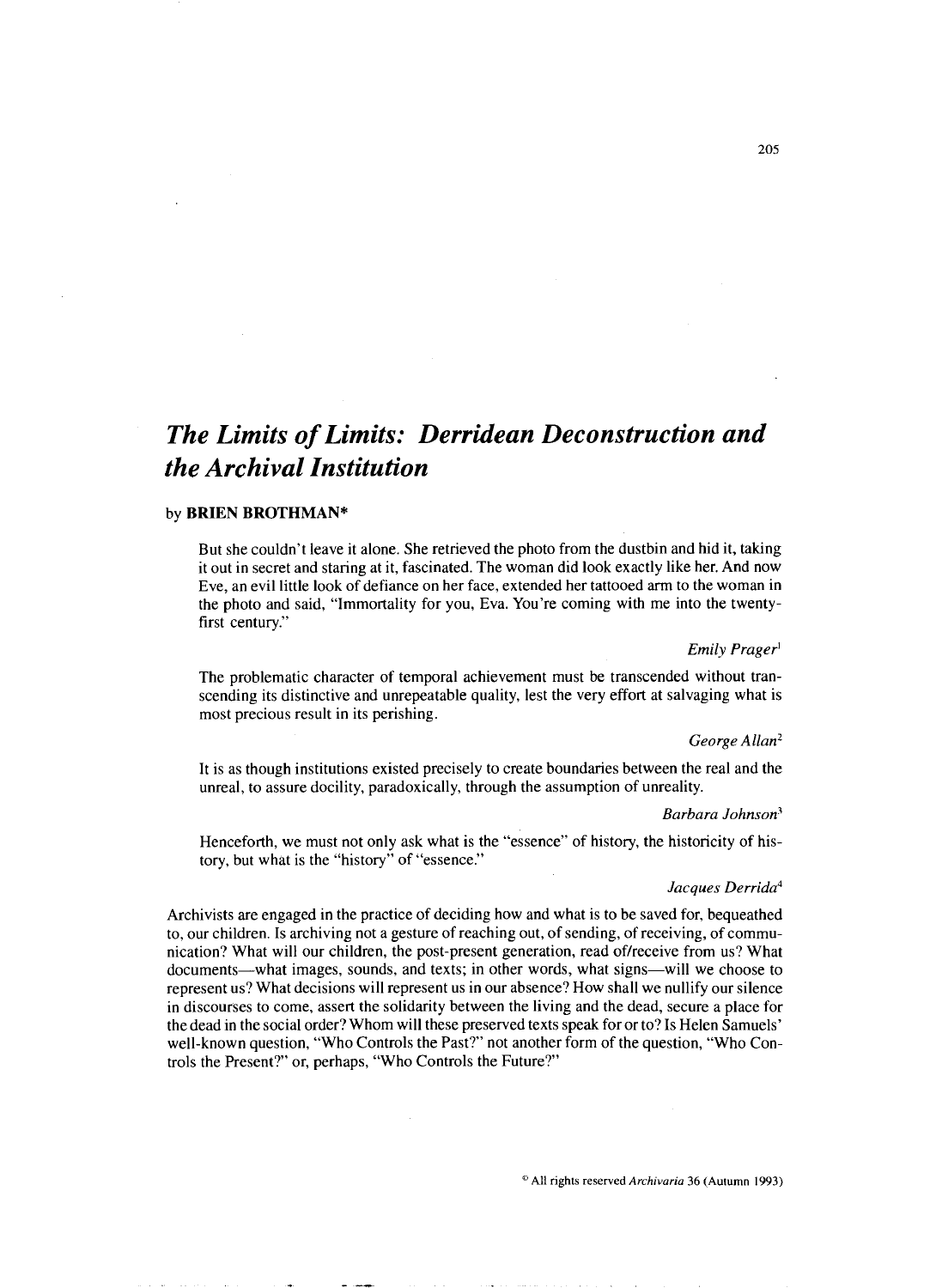# *The Limits of Limits: Derridean Deconstruction and the Archival Institution*

## by **BRIEN BROTHMAN\***

But she couldn't leave it alone. She retrieved the photo from the dustbin and hid it, taking it out in secret and staring at it, fascinated. The woman did look exactly like her. And now Eve, an evil little look of defiance on her face, extended her tattooed arm to the woman in the photo and said, "Immortality for you, Eva. You're coming with me into the twentyfirst century."

### **Emily** *Prager'*

The problematic character of temporal achievement must be transcended without transcending its distinctive and unrepeatable quality, lest the very effort at salvaging what is most precious result in its perishing.

## *George Allan2*

It is as though institutions existed precisely to create boundaries between the real and the unreal, to assure docility, paradoxically, through the assumption of unreality.

## *Barbara Johnson'*

Henceforth, we must not only ask what is the "essence" of history, the historicity of history, but what is the "history" of "essence."

## *Jacques Derrida4*

Archivists are engaged in the practice of deciding how and what is to be saved for, bequeathed to, our children. Is archiving not a gesture of reaching out, of sending, of receiving, of communication? What will our children, the post-present generation, read of/receive from us? What documents—what images, sounds, and texts; in other words, what signs—will we choose to represent us? What decisions will represent us in our absence? How shall we nullify our silence in discourses to come, assert the solidarity between the living and the dead, secure a place for the dead in the social order? Whom will these preserved texts speak for or to? Is Helen Samuels' well-known question, "Who Controls the Past?" not another form of the question, "Who Controls the Present?'or, perhaps, "Who Controls the Future?"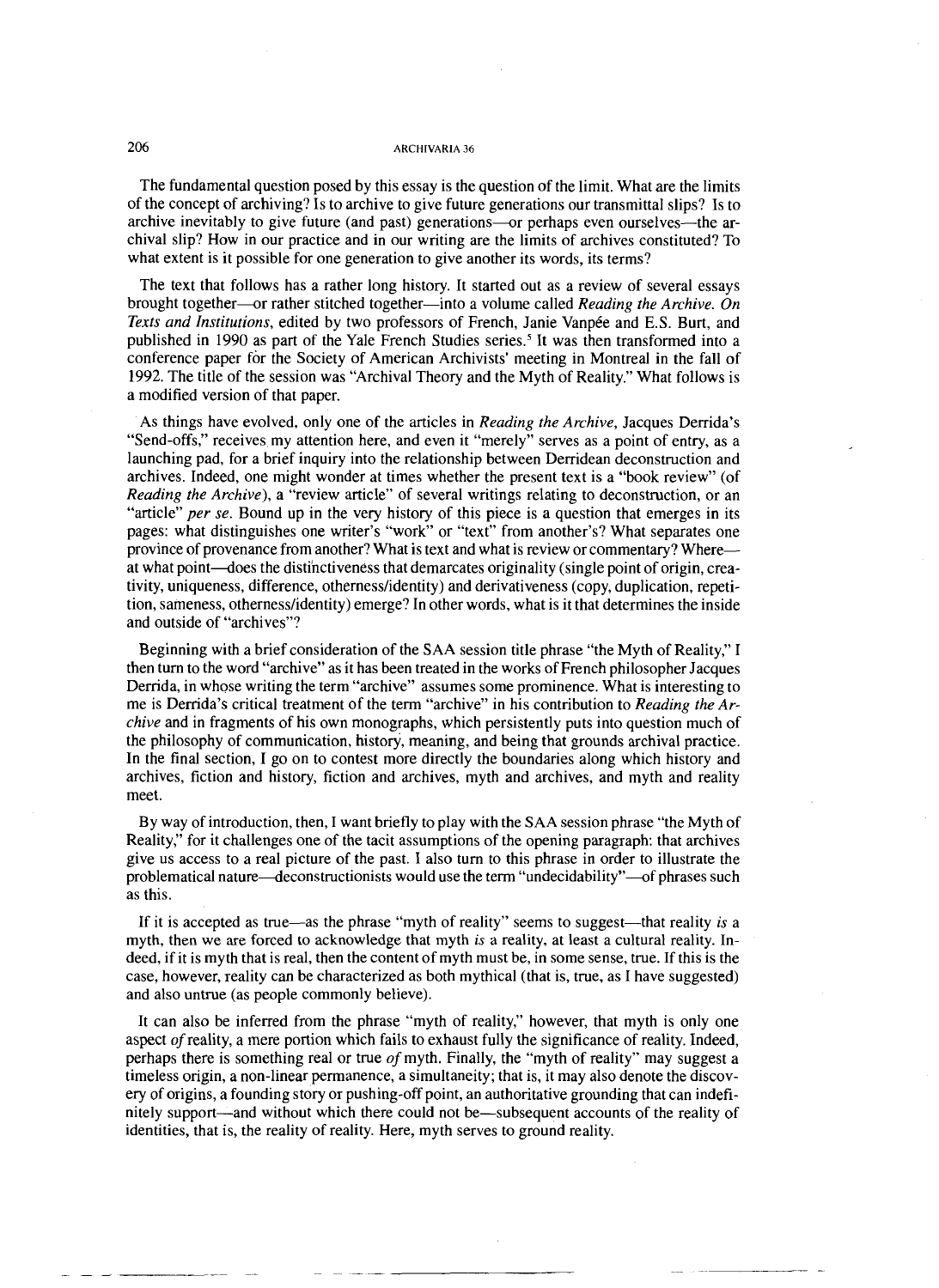The fundamental question posed by this essay is the question of the limit. What are the limits of the concept of archiving? Is to archive to give future generations our transmittal slips? Is to archive inevitably to give future (and past) generations---or perhaps even ourselves----the archival slip? How in our practice and in our writing are the limits of archives constituted? To what extent is it possible for one generation to give another its words, its terms?

The text that follows has a rather long history. It started out as a review of several essays brought together--or rather stitched together-into a volume called *Reading the Archive. On Texts and Institutions, edited by two professors of French, Janie Vanpée and E.S. Burt, and* published in 1990 as part of the Yale French Studies series.<sup>5</sup> It was then transformed into a conference paper for the Society of American Archivists' meeting in Montreal in the fall of 1992. The title of the session was "Archival Theory and the Myth of Reality." What follows is a modified version of that paper.

As things have evolved, only one of the articles in *Reading the Archive,* Jacques Derrida's "Send-offs," receives my attention here, and even it "merely" serves as a point of entry, as a launching pad, for a brief inquiry into the relationship between Derridean deconstruction and archives. Indeed, one might wonder at times whether the present text is a "book review" (of *Reading the Archive*), a "review article" of several writings relating to deconstruction, or an "article" *per se.* Bound up in the very history of this piece is a question that emerges in its pages: what distinguishes one writer's "work" or "text" from another's? What separates one province of provenance from another? What is text and what is review or commentary? Whereat what point—does the distinctiveness that demarcates originality (single point of origin, creativity, uniqueness, difference, othernesslidentity) and derivativeness (copy, duplication, repetition, sameness, othernesslidentity) emerge? In other words, what is it that determines the inside and outside of "archives"?

Beginning with a brief consideration of the SAA session title phrase "the Myth of Reality," I then turn to the word "archive" as it has been treated in the works of French philosopher Jacques Derrida, in whose writing the term "archive" assumes some prominence. What is interesting to me is Derrida's critical treatment of the term "archive" in his contribution to *Reading the Archive* and in fragments of his own monographs, which persistently puts into question much of the philosophy of communication, history, meaning, and being that grounds archival practice. In the final section, I go on to contest more directly the boundaries along which history and archives, fiction and history, fiction and archives, myth and archives, and myth and reality meet.

By way of introduction, then, I want briefly to play with the SAA session phrase "the Myth of Reality," for it challenges one of the tacit assumptions of the opening paragraph: that archives give us access to a real picture of the past. I also turn to this phrase in order to illustrate the problematical nature—deconstructionists would use the term "undecidability"—of phrases such as this.

If it is accepted as true—as the phrase "myth of reality" seems to suggest—that reality *is* a myth, then we are forced to acknowledge that myth *is* a reality, at least a cultural reality. Indeed, if it is myth that is real, then the content of myth must be, in some sense, true. If this is the case, however, reality can be characterized as both mythical (that is, true, as I have suggested) and also untrue (as people commonly believe).

It can also be inferred from the phrase "myth of reality," however, that myth is only one aspect *of* reality, a mere portion which fails to exhaust fully the significance of reality. Indeed, perhaps there is something real or true of myth. Finally, the "myth of reality" may suggest a timeless origin, a non-linear permanence, a simultaneity; that is, it may also denote the discovery of origins, a founding story or pushing-off point, an authoritative grounding that can indefinitely support-and without which there could not be-subsequent accounts of the reality of identities, that is, the reality of reality. Here, myth serves to ground reality.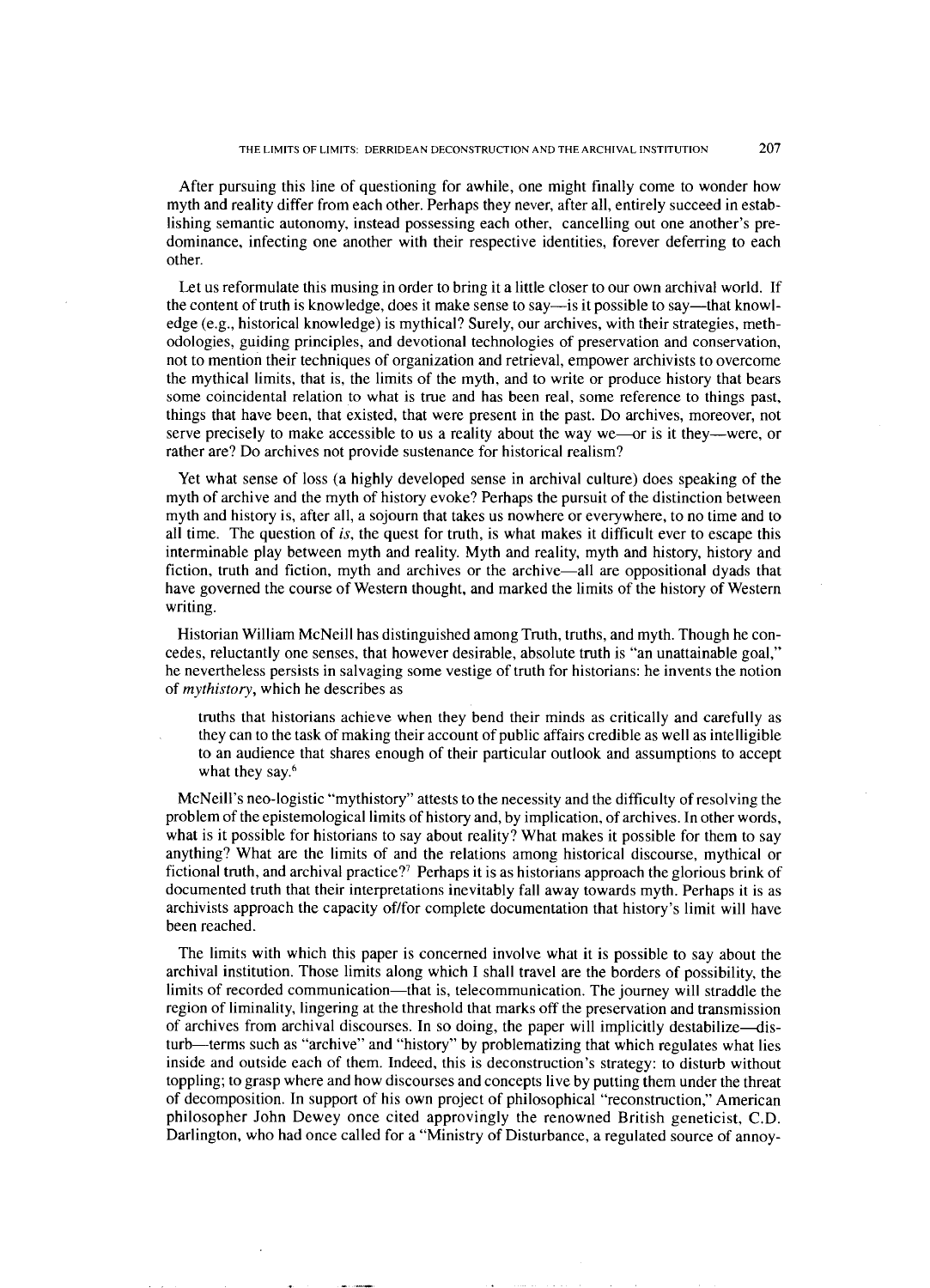After pursuing this line of questioning for awhile, one might finally come to wonder how myth and reality differ from each other. Perhaps they never, after all, entirely succeed in establishing semantic autonomy, instead possessing each other, cancelling out one another's predominance, infecting one another with their respective identities, forever deferring to each other.

Let us reformulate this musing in order to bring it a little closer to our own archival world. If the content of truth is knowledge, does it make sense to say-is it possible to say-that knowledge (e.g., historical knowledge) is mythical? Surely, our archives, with their strategies, methodologies, guiding principles, and devotional technologies of preservation and conservation, not to mention their techniques of organization and retrieval, empower archivists to overcome the mythical limits, that is, the limits of the myth, and to write or produce history that bears some coincidental relation to what is true and has been real, some reference to things past, things that have been, that existed, that were present in the past. Do archives, moreover, not serve precisely to make accessible to us a reality about the way we—or is it they—were, or rather are? Do archives not provide sustenance for historical realism?

Yet what sense of loss (a highly developed sense in archival culture) does speaking of the myth of archive and the myth of history evoke? Perhaps the pursuit of the distinction between myth and history is, after all, a sojourn that takes us nowhere or everywhere, to no time and to all time. The question of is, the quest for truth, is what makes it difficult ever to escape this interminable play between myth and reality. Myth and reality, myth and history, history and fiction, truth and fiction, myth and archives or the archive-all are oppositional dyads that have governed the course of Western thought, and marked the limits of the history of Western writing.

Historian William McNeill has distinguished among Truth, truths, and myth. Though he concedes, reluctantly one senses, that however desirable, absolute truth is "an unattainable goal," he nevertheless persists in salvaging some vestige of truth for historians: he invents the notion of *mythistory*, which he describes as

truths that historians achieve when they bend their minds as critically and carefully as they can to the task of making their account of public affairs credible as well as intelligible to an audience that shares enough of their particular outlook and assumptions to accept what they say.<sup>6</sup>

McNeill's neo-logistic "mythistory" attests to the necessity and the difficulty of resolving the problem of the epistemological limits of history and, by implication, of archives. In other words, what is it possible for historians to say about reality? What makes it possible for them to say anything? What are the limits of and the relations among historical discourse, mythical or fictional truth, and archival practice?<sup>7</sup> Perhaps it is as historians approach the glorious brink of documented truth that their interpretations inevitably fall away towards myth. Perhaps it is as archivists approach the capacity of/for complete documentation that history's limit will have been reached.

The limits with which this paper is concerned involve what it is possible to say about the archival institution. Those limits along which I shall travel are the borders of possibility, the limits of recorded communication-that is, telecommunication. The journey will straddle the region of liminality, lingering at the threshold that marks off the preservation and transmission of archives from archival discourses. In so doing, the paper will implicitly destabilize—disturb-terms such as "archive" and "history" by problematizing that which regulates what lies inside and outside each of them. Indeed, this is deconstruction's strategy: to disturb without toppling; to grasp where and how discourses and concepts live by putting them under the threat of decomposition. In support of his own project of philosophical "reconstruction," American philosopher John Dewey once cited approvingly the renowned British geneticist, C.D. Darlington, who had once called for a "Ministry of Disturbance, a regulated source of annoy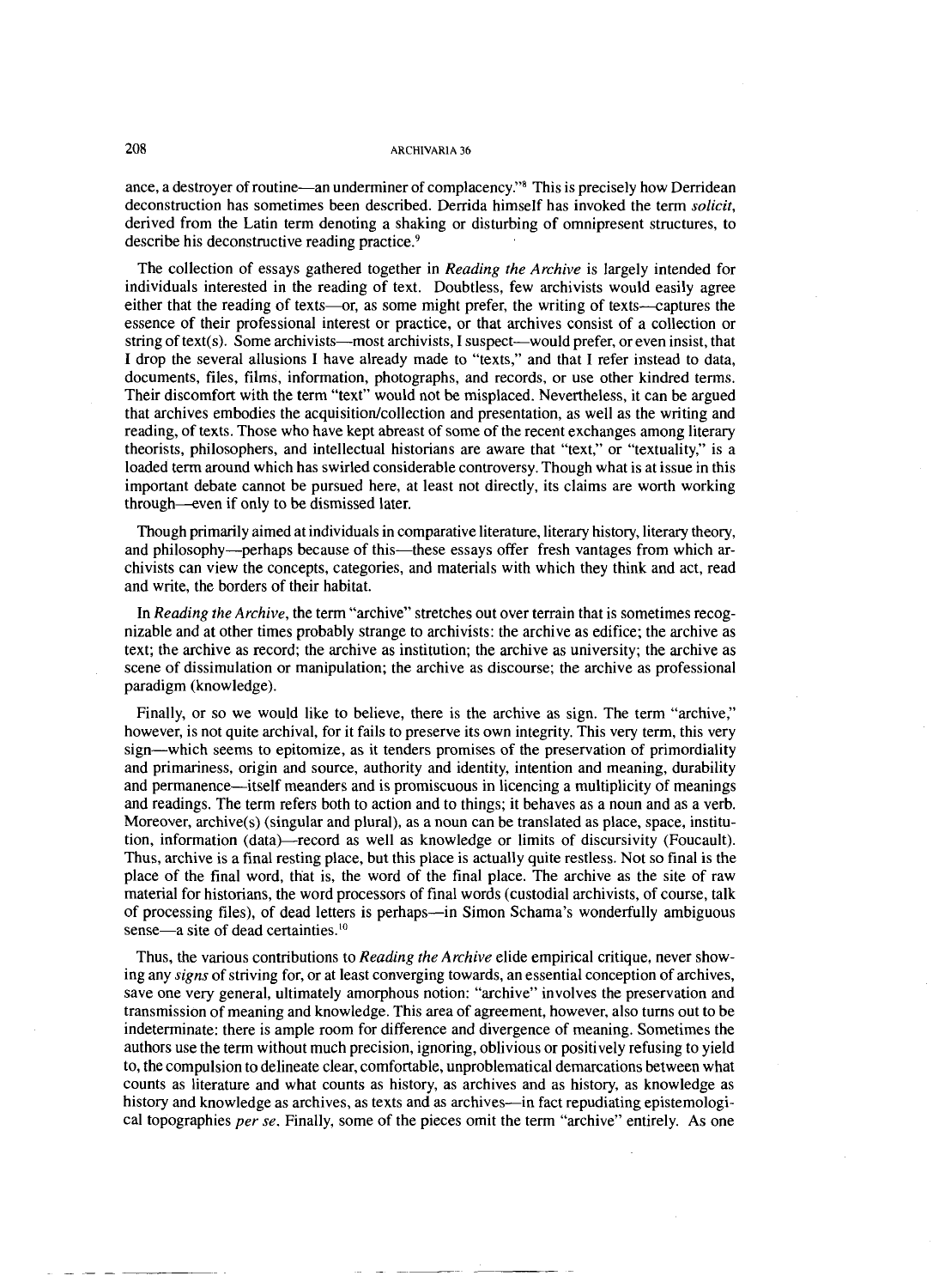ance, a destroyer of routine—an underminer of complacency."<sup>8</sup> This is precisely how Derridean deconstruction has sometimes been described. Derrida himself has invoked the term *solicit,*  derived from the Latin term denoting a shaking or disturbing of omnipresent structures, to describe his deconstructive reading practice.<sup>9</sup>

The collection of essays gathered together in *Reading the Archive* is largely intended for individuals interested in the reading of text. Doubtless, few archivists would easily agree either that the reading of texts—or, as some might prefer, the writing of texts—captures the essence of their professional interest or practice, or that archives consist of a collection or string of text(s). Some archivists—most archivists, I suspect—would prefer, or even insist, that I drop the several allusions I have already made to "texts," and that I refer instead to data, documents, files, films, information, photographs, and records, or use other kindred terms. Their discomfort with the term "text" would not be misplaced. Nevertheless, it can be argued that archives embodies the acquisition/collection and presentation, as well as the writing and reading, of texts. Those who have kept abreast of some of the recent exchanges among literary theorists, philosophers, and intellectual historians are aware that "text," or "textuality," is a loaded term around which has swirled considerable controversy. Though what is at issue in this important debate cannot be pursued here, at least not directly, its claims are worth working through--even if only to be dismissed later.

Though primarily aimed at individuals in comparative literature, literary history, literary theory, and philosophy-perhaps because of this-these essays offer fresh vantages from which archivists can view the concepts, categories, and materials with which they think and act, read and write, the borders of their habitat.

In *Reading the Archive,* the term "archive" stretches out over terrain that is sometimes recognizable and at other times probably strange to archivists: the archive as edifice; the archive as text; the archive as record; the archive as institution; the archive as university; the archive as scene of dissimulation or manipulation; the archive as discourse; the archive as professional paradigm (knowledge).

Finally, or so we would like to believe, there is the archive as sign. The term "archive," however, is not quite archival, for it fails to preserve its own integrity. This very term, this very sign-which seems to epitomize, as it tenders promises of the preservation of primordiality and primariness, origin and source, authority and identity, intention and meaning, durability and permanence-itself meanders and is promiscuous in licencing a multiplicity of meanings and readings. The term refers both to action and to things; it behaves as a noun and as a verb. Moreover,  $archive(s)$  (singular and plural), as a noun can be translated as place, space, institution, information (data)-record as well as knowledge or limits of discursivity (Foucault). Thus, archive is a final resting place, but this place is actually quite restless. Not so final is the place of the final word, that is, the word of the final place. The archive as the site of raw material for historians, the word processors of final words (custodial archivists, of course, talk of processing files), of dead letters is perhaps-in Simon Schama's wonderfully ambiguous sense $-$ a site of dead certainties. $^{10}$ 

Thus, the various contributions to *Reading the Archive* elide empirical critique, never showing any *signs* of striving for, or at least converging towards, an essential conception of archives, save one very general, ultimately amorphous notion: "archive" involves the preservation and transmission of meaning and knowledge. This area of agreement, however, also turns out to be indeterminate: there is ample room for difference and divergence of meaning. Sometimes the authors use the term without much precision, ignoring, oblivious or positively refusing to yield to, the compulsion to delineate clear, comfortable, unproblematical demarcations between what counts as literature and what counts as history, as archives and as history, as knowledge as history and knowledge as archives, as texts and as archives—in fact repudiating epistemological topographies *per se.* Finally, some of the pieces omit the term "archive" entirely. As one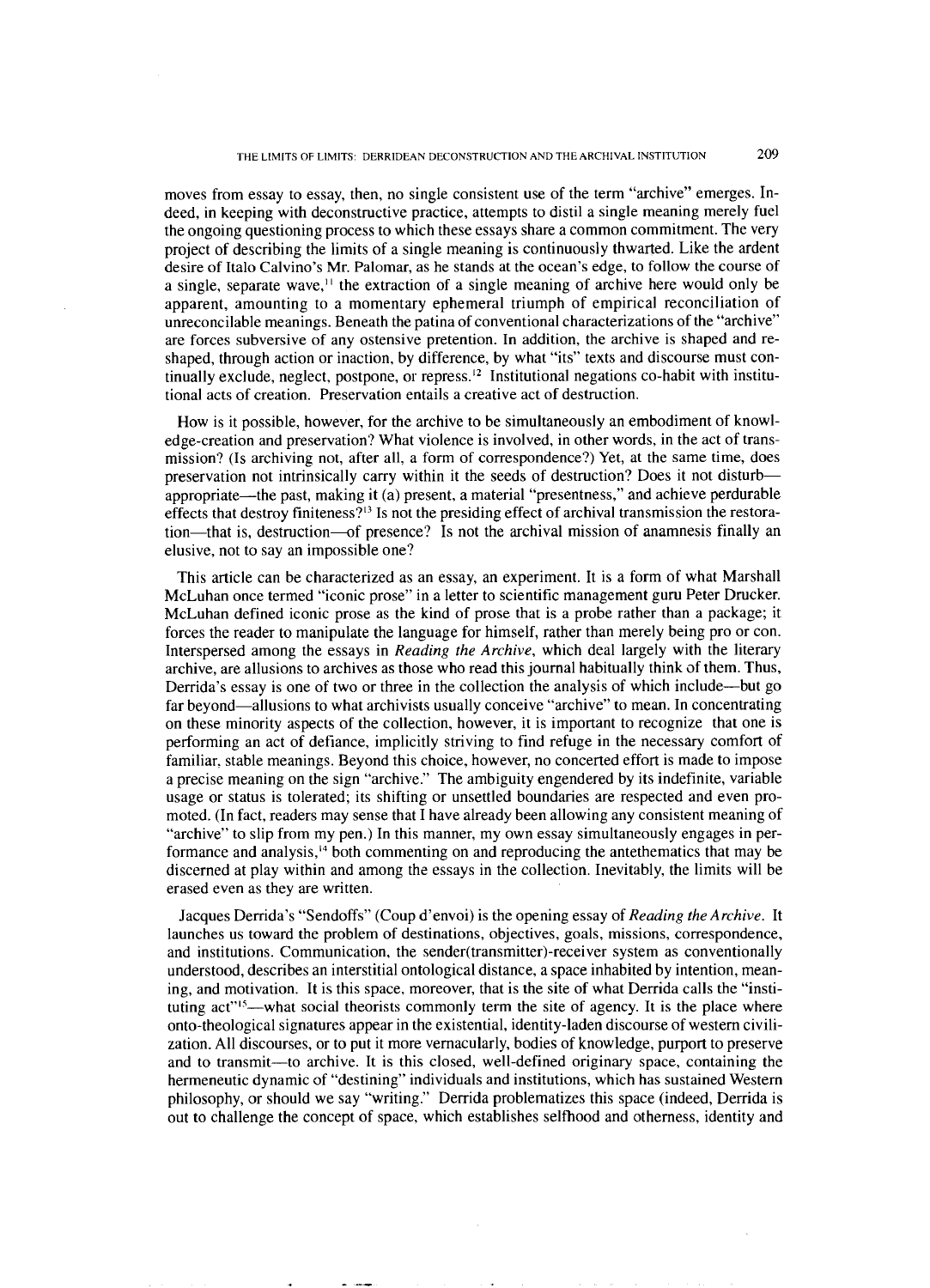moves from essay to essay, then, no single consistent use of the term "archive" emerges. Indeed, in keeping with deconstructive practice, attempts to distil a single meaning merely fuel the ongoing questioning process to which these essays share a common commitment. The very project of describing the limits of a single meaning is continuously thwarted. Like the ardent desire of Italo Calvino's Mr. Palomar, as he stands at the ocean's edge, to follow the course of a single, separate wave, $<sup>11</sup>$  the extraction of a single meaning of archive here would only be</sup> apparent, amounting to a momentary ephemeral triumph of empirical reconciliation of unreconcilable meanings. Beneath the patina of conventional characterizations of the "archive" are forces subversive of any ostensive pretention. In addition, the archive is shaped and reshaped, through action or inaction, by difference, by what "its" texts and discourse must continually exclude, neglect, postpone, or repress.<sup>12</sup> Institutional negations co-habit with institutional acts of creation. Preservation entails a creative act of destruction.

How is it possible, however, for the archive to be simultaneously an embodiment of knowledge-creation and preservation? What violence is involved, in other words, in the act of transmission? (Is archiving not, after all, a form of correspondence?) Yet, at the same time, does preservation not intrinsically carry within it the seeds of destruction? Does it not disturbappropriate-the past, making it (a) present, a material "presentness," and achieve perdurable effects that destroy finiteness?<sup>13</sup> Is not the presiding effect of archival transmission the restoration-that is, destruction-of presence? Is not the archival mission of anamnesis finally an elusive, not to say an impossible one?

This article can be characterized as an essay, an experiment. It is a form of what Marshall McLuhan once termed "iconic prose" in a letter to scientific management guru Peter Drucker. McLuhan defined iconic prose as the kind of prose that is a probe rather than a package; it forces the reader to manipulate the language for himself, rather than merely being pro or con. Interspersed among the essays in *Reading the Archive,* which deal largely with the literary archive, are allusions to archives as those who read this journal habitually think of them. Thus, Derrida's essay is one of two or three in the collection the analysis of which include-but go far beyond—allusions to what archivists usually conceive "archive" to mean. In concentrating on these minority aspects of the collection, however, it is important to recognize that one is performing an act of defiance, implicitly striving to find refuge in the necessary comfort of familiar. stable meanings. Beyond this choice, however, no concerted effort is made to impose a precise meaning on the sign "archive." The ambiguity engendered by its indefinite, variable usage or status is tolerated; its shifting or unsettled boundaries are respected and even promoted. (In fact, readers may sense that I have already been allowing any consistent meaning of "archive" to slip from my pen.) In this manner, my own essay simultaneously engages in performance and analysis,<sup>14</sup> both commenting on and reproducing the antethematics that may be discerned at play within and among the essays in the collection. Inevitably, the limits will be erased even as they are written.

Jacques Derrida's "Sendoffs" (Coup d'envoi) is the opening essay of *Reading the Archive.* It launches us toward the problem of destinations, objectives, goals, missions, correspondence, and institutions. Communication, the sender(transmitter)-receiver system as conventionally understood, describes an interstitial ontological distance, a space inhabited by intention, meaning, and motivation. It is this space, moreover, that is the site of what Derrida calls the "instituting act"<sup>15</sup>--what social theorists commonly term the site of agency. It is the place where onto-theological signatures appear in the existential, identity-laden discourse of western civilization. All discourses, or to put it more vernacularly, bodies of knowledge, purport to preserve and to transmit—to archive. It is this closed, well-defined originary space, containing the hermeneutic dynamic of "destining" individuals and institutions, which has sustained Western philosophy, or should we say "writing." Derrida problematizes this space (indeed, Derrida is out to challenge the concept of space, which establishes selfhood and otherness, identity and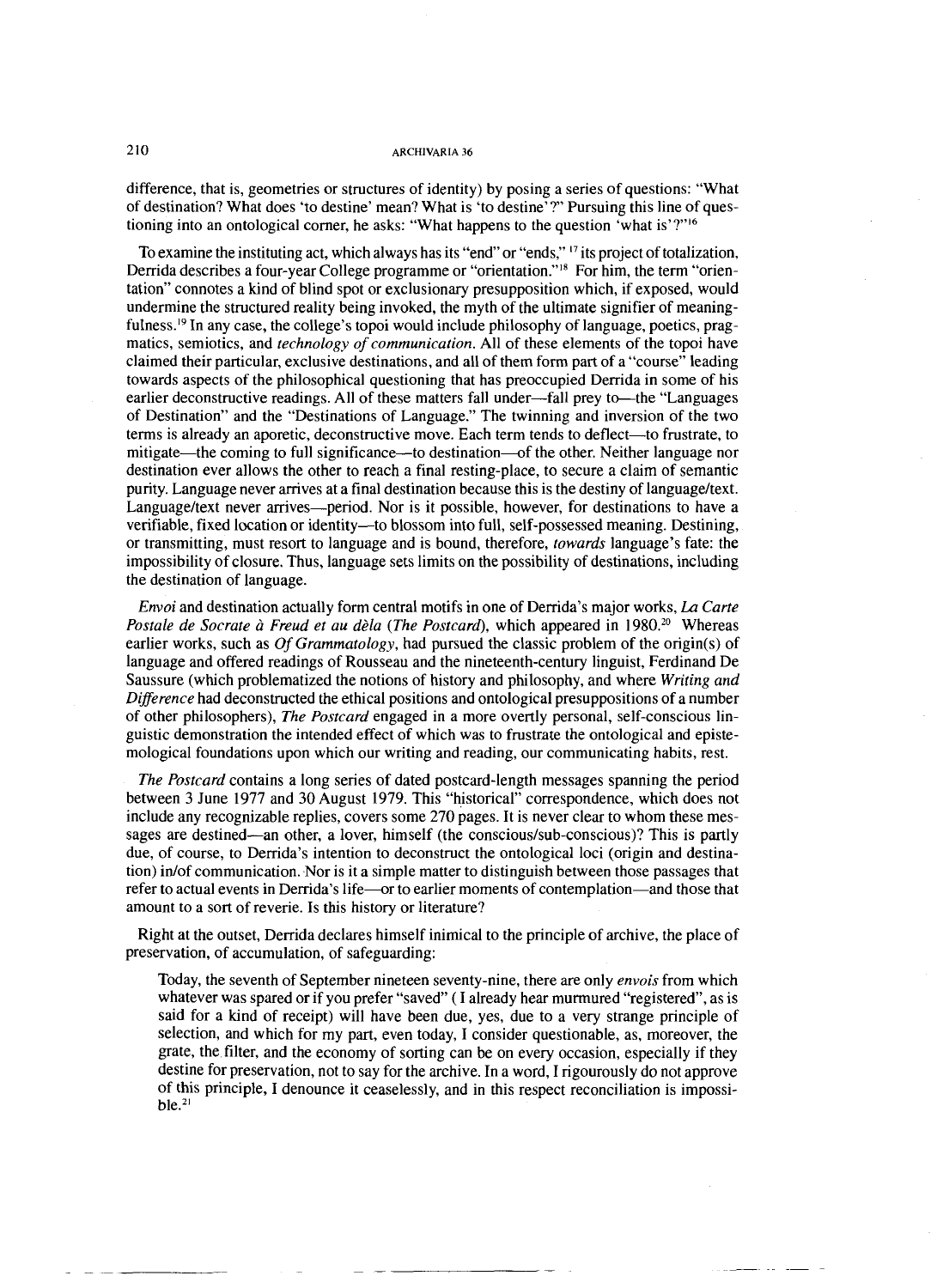difference, that is, geometries or structures of identity) by posing a series of questions: "What of destination? What does 'to destine' mean? What is 'to destine'?" Pursuing this line of questioning into an ontological corner, he asks: "What happens to the question 'what is'?"<sup>16</sup>

To examine the instituting act, which always has its "end" or "ends,"  $\frac{17}{16}$  its project of totalization, Derrida describes a four-year College programme or "orientation."<sup>18</sup> For him, the term "orientation" connotes a kind of blind spot or exclusionary presupposition which, if exposed, would undermine the structured reality being invoked, the myth of the ultimate signifier of meaningfulness.19 In any case, the college's topoi would include philosophy of language, poetics, pragmatics, semiotics, and *technology of communication.* All of these elements of the topoi have claimed their particular, exclusive destinations, and all of them form part of a "course" leading towards aspects of the philosophical questioning that has preoccupied Derrida in some of his earlier deconstructive readings. All of these matters fall under-fall prey to-the "Languages" of Destination" and the "Destinations of Language." The twinning and inversion of the two terms is already an aporetic, deconstructive move. Each term tends to deflect—to frustrate, to mitigate—the coming to full significance—to destination—of the other. Neither language nor destination ever allows the other to reach a final resting-place, to secure a claim of semantic purity. Language never arrives at a final destination because this is the destiny of languageltext. Language/text never arrives—period. Nor is it possible, however, for destinations to have a verifiable, fixed location or identity-to blossom into full, self-possessed meaning. Destining, or transmitting, must resort to language and is bound, therefore, *towards* language's fate: the impossibility of closure. Thus, language sets limits on the possibility of destinations, including the destination of language.

*Envoi* and destination actually form central motifs in one of Derrida's major works, *La Carte Postale de Socrate à Freud et au dèla (The Postcard), which appeared in 1980.<sup>20</sup> Whereas* earlier works, such as Of *Grammatology,* had pursued the classic problem of the origin(s) of language and offered readings of Rousseau and the nineteenth-century linguist, Ferdinand De Saussure (which problematized the notions of history and philosophy, and where *Writing and Difference* had deconstructed the ethical positions and ontological presuppositions of a number of other philosophers), *The Postcard* engaged in a more overtly personal, self-conscious linguistic demonstration the intended effect of which was to frustrate the ontological and epistemological foundations upon which our writing and reading, our communicating habits, rest.

*The Postcard* contains a long series of dated postcard-length messages spanning the period between **3** June 1977 and 30 August 1979. This "historical" correspondence, which does not include any recognizable replies, covers some 270 pages. It is never clear to whom these messages are destined—an other, a lover, himself (the conscious/sub-conscious)? This is partly due, of course, to Derrida's intention to deconstruct the ontological loci (origin and destination) inlof communication. Nor is it a simple matter to distinguish between those passages that refer to actual events in Derrida's life—or to earlier moments of contemplation—and those that amount to a sort of reverie. Is this history or literature?

Right at the outset, Derrida declares himself inimical to the principle of archive, the place of preservation, of accumulation, of safeguarding:

Today, the seventh of September nineteen seventy-nine, there are only *envois* from which whatever was spared or if you prefer "saved" (I already hear murmured "registered", as is said for a kind of receipt) will have been due, yes, due to a very strange principle of selection, and which for my part, even today, I consider questionable, as, moreover, the grate, the filter, and the economy of sorting can be on every occasion, especially if they destine for preservation, not to say for the archive. In a word, I rigourously do not approve of this principle, I denounce it ceaselessly, and in this respect reconciliation is impossi $ble.$ <sup>21</sup>

210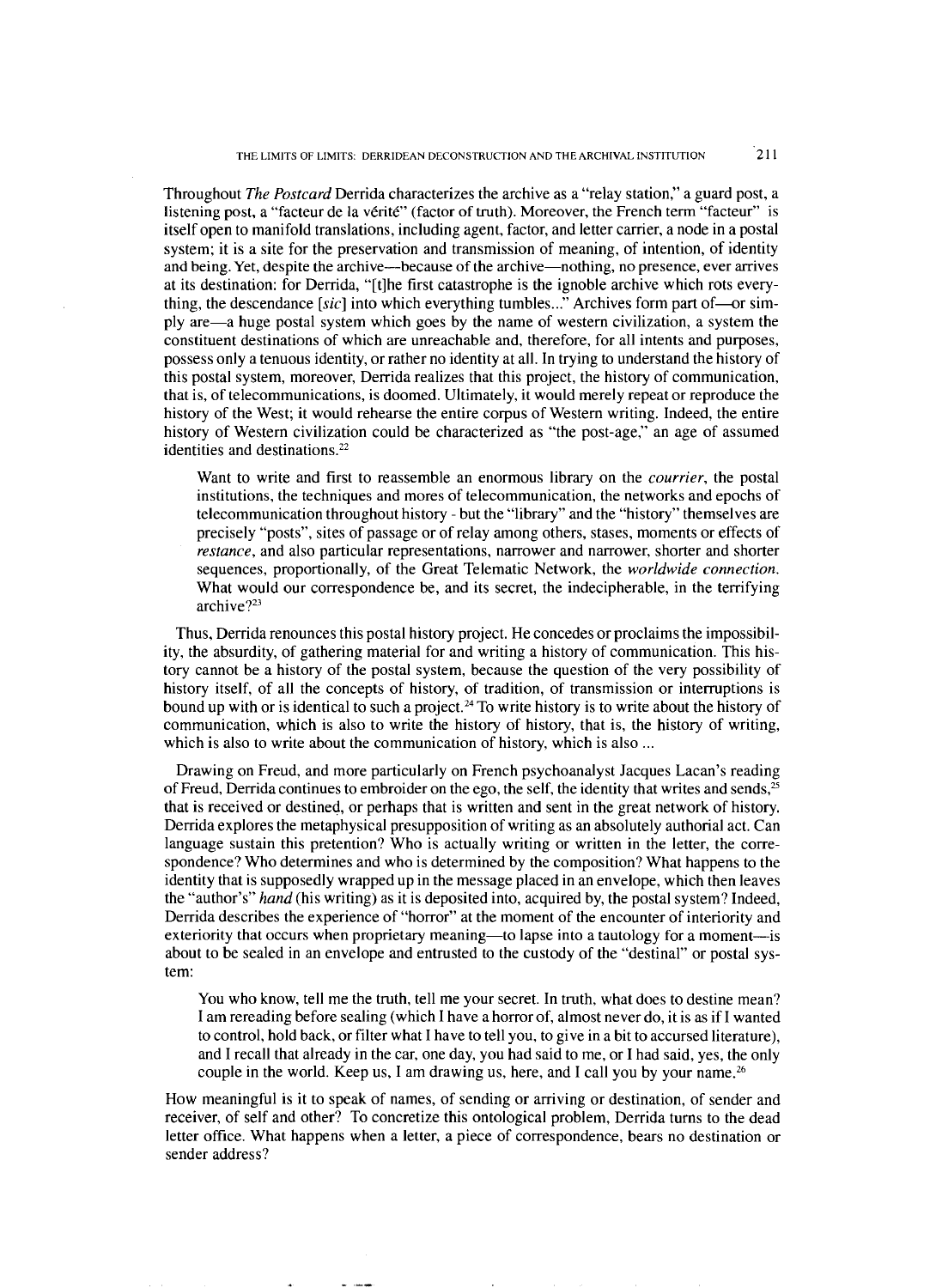Throughout *The Postcard* Derrida characterizes the archive as a "relay station," a guard post, a listening post, a "facteur de la vérité" (factor of truth). Moreover, the French term "facteur" is itself open to manifold translations, including agent, factor, and letter carrier, a node in a postal system; it is a site for the preservation and transmission of meaning, of intention, of identity and being. Yet, despite the archive-because of the archive-nothing, no presence, ever arrives at its destination: for Derrida, "[tlhe first catastrophe is the ignoble archive which rots everything, the descendance *[sic]* into which everything tumbles..." Archives form part of-or simply are-a huge postal system which goes by the name of western civilization, a system the constituent destinations of which are unreachable and, therefore, for all intents and purposes, possess only a tenuous identity, or rather no identity at all. In trying to understand the history of this postal system, moreover, Denida realizes that this project, the history of communication, that is, of telecommunications, is doomed. Ultimately, it would merely repeat or reproduce the history of the West; it would rehearse the entire corpus of Western writing. Indeed, the entire history of Western civilization could be characterized as "the post-age," an age of assumed identities and destinations.<sup>22</sup>

Want to write and first to reassemble an enormous library on the *courrier,* the postal institutions, the techniques and mores of telecommunication, the networks and epochs of telecommunication throughout history - but the "library" and the "history" themselves are precisely "posts", sites of passage or of relay among others, stases, moments or effects of *restance,* and also particular representations, narrower and narrower, shorter and shorter sequences, proportionally, of the Great Telematic Network, the *worldwide connection.*  What would our correspondence be, and its secret, the indecipherable, in the terrifying archive?23

Thus, Derrida renounces this postal history project. He concedes or proclaims the impossibility, the absurdity, of gathering material for and writing a history of communication. This history cannot be a history of the postal system, because the question of the very possibility of history itself, of all the concepts of history, of tradition, of transmission or interruptions is bound up with or is identical to such a project.<sup>24</sup> To write history is to write about the history of communication, which is also to write the history of history, that is, the history of writing, which is also to write about the communication of history, which is also ...

Drawing on Freud, and more particularly on French psychoanalyst Jacques Lacan's reading of Freud, Derrida continues to embroider on the ego, the self, the identity that writes and sends,<sup>25</sup> that is received or destined, or perhaps that is written and sent in the great network of history. Derrida explores the metaphysical presupposition of writing as an absolutely authorial act. Can language sustain this pretention? Who is actually writing or written in the letter, the correspondence? Who determines and who is determined by the composition? What happens to the identity that is supposedly wrapped up in the message placed in an envelope, which then leaves the "author's" *hand* (his writing) as it is deposited into, acquired by, the postal system? Indeed, Derrida describes the experience of "horror" at the moment of the encounter of interiority and exteriority that occurs when proprietary meaning—to lapse into a tautology for a moment—is about to be sealed in an envelope and entrusted to the custody of the "destinal" or postal system:

You who know, tell me the truth, tell me your secret. In truth, what does to destine mean? I am rereading before sealing (which I have a horror of, almost never do, it is as if I wanted to control, hold back, or filter what I have to tell you, to give in a bit to accursed literature), and I recall that already in the car, one day, you had said to me, or I had said, yes, the only couple in the world. Keep us, I am drawing us, here, and I call you by your name.<sup>26</sup>

How meaningful is it to speak of names, of sending or arriving or destination, of sender and receiver, of self and other? To concretize this ontological problem, Derrida turns to the dead letter office. What happens when a letter, a piece of correspondence, bears no destination or sender address?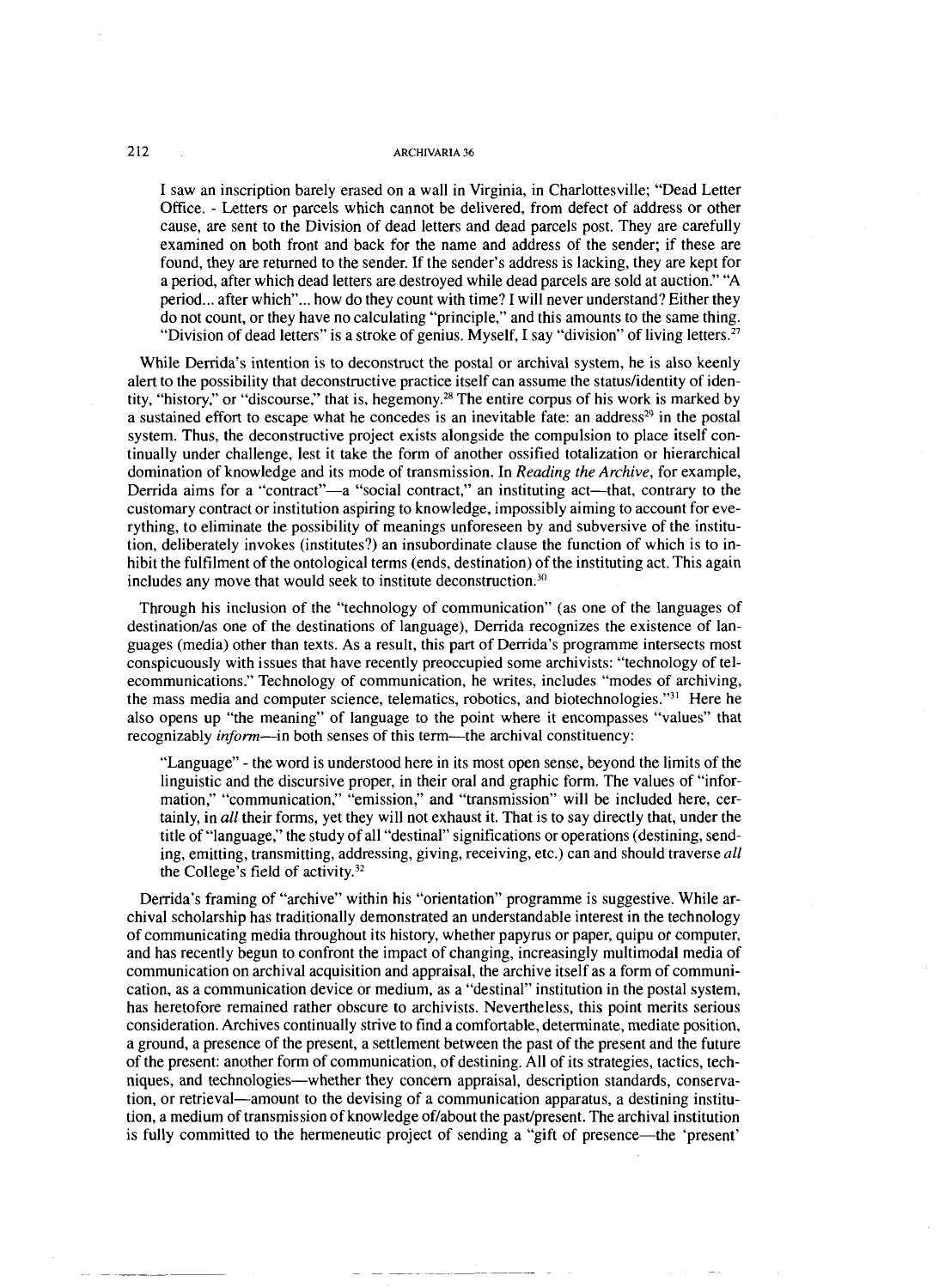I saw an inscription barely erased on a wall in Virginia, in Charlottesville; "Dead Letter Office. - Letters or parcels which cannot be delivered, from defect of address or other cause, are sent to the Division of dead letters and dead parcels post. They are carefully examined on both front and back for the name and address of the sender; if these are found, they are returned to the sender. If the sender's address is lacking, they are kept for a period, after which dead letters are destroyed while dead parcels are sold at auction." "A period... after which"... how do they count with time? I will never understand? Either they do not count, or they have no calculating "principle," and this amounts to the same thing. "Division of dead letters" is a stroke of genius. Myself, I say "division" of living letters.<sup>27</sup>

While Derrida's intention is to deconstruct the postal or archival system, he is also keenly alert to the possibility that deconstructive practice itself can assume the status/identity of identity, "history," or "discourse," that is, hegemony.28 The entire corpus of his work is marked by a sustained effort to escape what he concedes is an inevitable fate: an address<sup>29</sup> in the postal system. Thus, the deconstructive project exists alongside the compulsion to place itself continually under challenge, lest it take the form of another ossified totalization or hierarchical domination of knowledge and its mode of transmission. In *Reading the Archive,* for example, Derrida aims for a "contract"-a "social contract," an instituting act-that, contrary to the customary contract or institution aspiring to knowledge, impossibly aiming to account for everything, to eliminate the possibility of meanings unforeseen by and subversive of the institution, deliberately invokes (institutes?) an insubordinate clause the function of which is to inhibit the fulfilment of the ontological terms (ends, destination) of the instituting act. This again includes any move that would seek to institute deconstruction. $30$ 

Through his inclusion of the "technology of communication" (as one of the languages of destination/as one of the destinations of language), Derrida recognizes the existence of languages (media) other than texts. As a result, this part of Derrida's programme intersects most conspicuously with issues that have recently preoccupied some archivists: "technology of telecommunications." Technology of communication, he writes, includes "modes of archiving, the mass media and computer science, telematics, robotics, and biotechnologies." $3<sup>1</sup>$  Here he also opens up "the meaning" of language to the point where it encompasses "values" that recognizably *inform*—in both senses of this term—the archival constituency:

"Language" - the word is understood here in its most open sense, beyond the limits of the linguistic and the discursive proper, in their oral and graphic form. The values of "information,'' "communication," "emission," and "transmission" will be included here, certainly, in *all* their forms, yet they will not exhaust it. That is to say directly that, under the title of "language," the study of all "destinal" significations or operations (destining, sending, emitting, transmitting, addressing, giving, receiving, etc.) can and should traverse *all*  the College's field of activity.<sup>32</sup>

Derrida's framing of "archive" within his "orientation" programme is suggestive. While archival scholarship has traditionally demonstrated an understandable interest in the technology of communicating media throughout its history, whether papyrus or paper, quipu or computer, and has recently begun to confront the impact of changing, increasingly multimodal media of communication on archival acquisition and appraisal, the archive itself as a form of communication, as a communication device or medium, as a "destinal" institution in the postal system, has heretofore remained rather obscure to archivists. Nevertheless, this point merits serious consideration. Archives continually strive to find a comfortable, determinate, mediate position, a ground, a presence of the present, a settlement between the past of the present and the future of the present: another form of communication, of destining. All of its strategies, tactics, techniques, and technologies-whether they concern appraisal, description standards, conservation, or retrieval-amount to the devising of a communication apparatus, a destining institution, a medium of transmission of knowledge of/about the past/present. The archival institution is fully committed to the hermeneutic project of sending a "gift of presence-the 'present'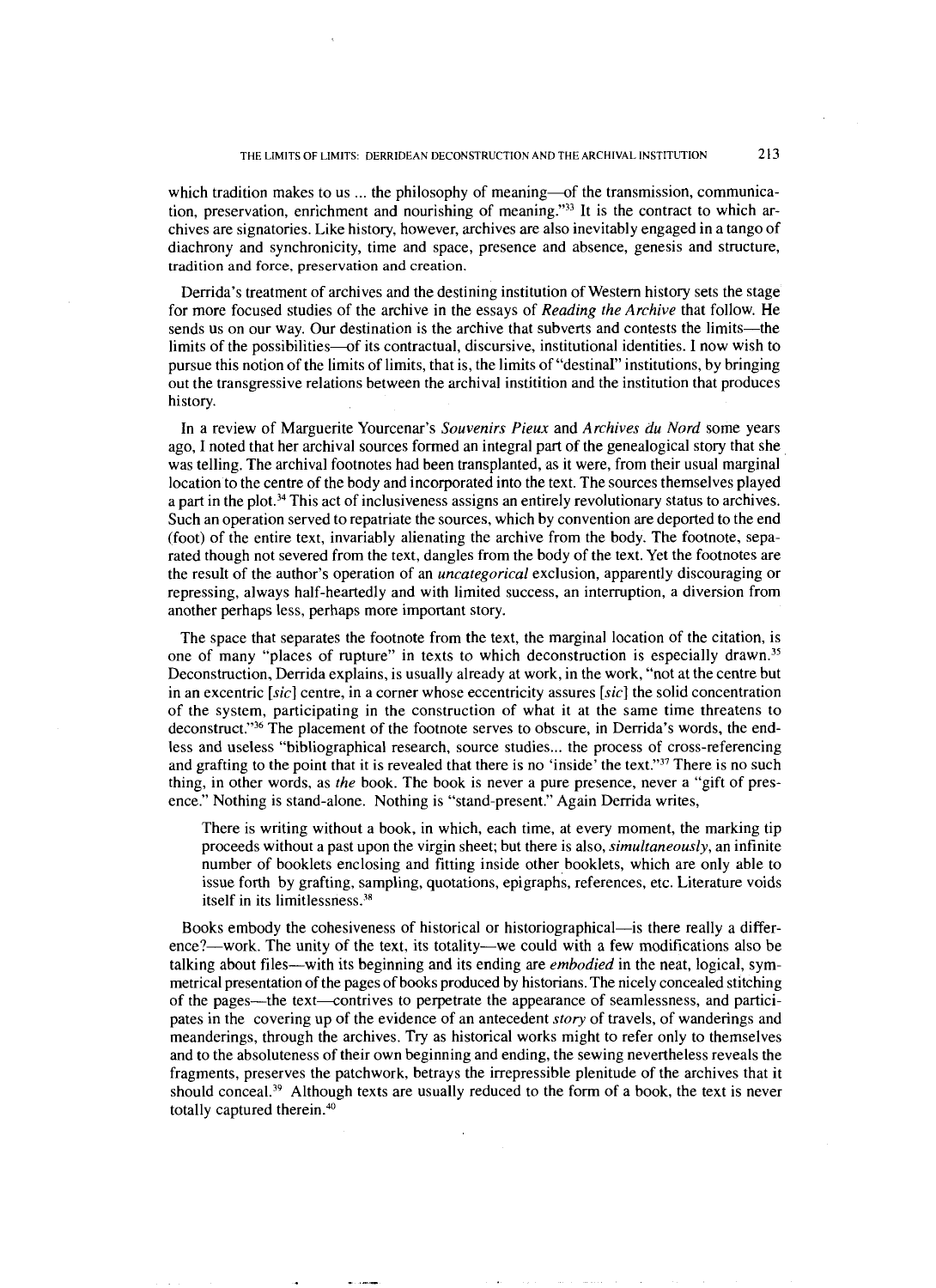which tradition makes to us  $\ldots$  the philosophy of meaning-of the transmission, communication, preservation, enrichment and nourishing of meaning."33 It is the contract to which archives are signatories. Like history, however, archives are also inevitably engaged in a tango of diachrony and synchronicity, time and space, presence and absence, genesis and structure, tradition and force, preservation and creation.

Derrida's treatment of archives and the destining institution of Western history sets the stage for more focused studies of the archive in the essays of *Reading the Archive* that follow. He sends us on our way. Our destination is the archive that subverts and contests the limits—the limits of the possibilities-of its contractual, discursive, institutional identities. I now wish to pursue this notion of the limits of limits, that is, the limits of "destinal" institutions, by bringing out the transgressive relations between the archival institition and the institution that produces history.

In a review of Marguerite Yourcenar's *Souvenirs Pieux* and *Archives du Nord* some years ago, I noted that her archival sources formed an integral part of the genealogical story that she was telling. The archival footnotes had been transplanted, as it were, from their usual marginal location to the centre of the body and incorporated into the text. The sources themselves played a part in the plot.<sup>34</sup> This act of inclusiveness assigns an entirely revolutionary status to archives. Such an operation served to repatriate the sources, which by convention are deported to the end (foot) of the entire text, invariably alienating the archive from the body. The footnote, separated though not severed from the text, dangles from the body of the text. Yet the footnotes are the result of the author's operation of an *uncategorical* exclusion, apparently discouraging or repressing, always half-heartedly and with limited success, an interruption, a diversion from another perhaps less, perhaps more important story.

The space that separates the footnote from the text, the marginal location of the citation, is one of many "places of rupture" in texts to which deconstruction is especially drawn.<sup>35</sup> Deconstruction, Derrida explains, is usually already at work, in the work, "not at the centre but in an excentric *[sic]* centre, in a corner whose eccentricity assures *[sic]* the solid concentration of the system, participating in the construction of what it at the same time threatens to deconstruct."<sup>36</sup> The placement of the footnote serves to obscure, in Derrida's words, the endless and useless "bibliographical research, source studies ... the process of cross-referencing and grafting to the point that it is revealed that there is no 'inside' the text."<sup>37</sup> There is no such thing, in other words, as *the* book. The book is never a pure presence, never a "gift of presence." Nothing is stand-alone. Nothing is "stand-present." Again Derrida writes,

There is writing without a book, in which, each time, at every moment, the marking tip proceeds without a past upon the virgin sheet; but there is also, *simultaneously,* an infinite number of booklets enclosing and fitting inside other booklets, which are only able to issue forth by grafting, sampling, quotations, epigraphs, references, etc. Literature voids itself in its limitlessness.<sup>38</sup>

Books embody the cohesiveness of historical or historiographical—is there really a difference?—work. The unity of the text, its totality—we could with a few modifications also be talking about files-with its beginning and its ending are *embodied* in the neat, logical, symmetrical presentation of the pages of books produced by historians. The nicely concealed stitching of the pages—the text—contrives to perpetrate the appearance of seamlessness, and participates in the covering up of the evidence of an antecedent *story* of travels, of wanderings and meanderings, through the archives. Try as historical works might to refer only to themselves and to the absoluteness of their own beginning and ending, the sewing nevertheless reveals the fragments, preserves the patchwork, betrays the irrepressible plenitude of the archives that it should conceal.<sup>39</sup> Although texts are usually reduced to the form of a book, the text is never totally captured therein.40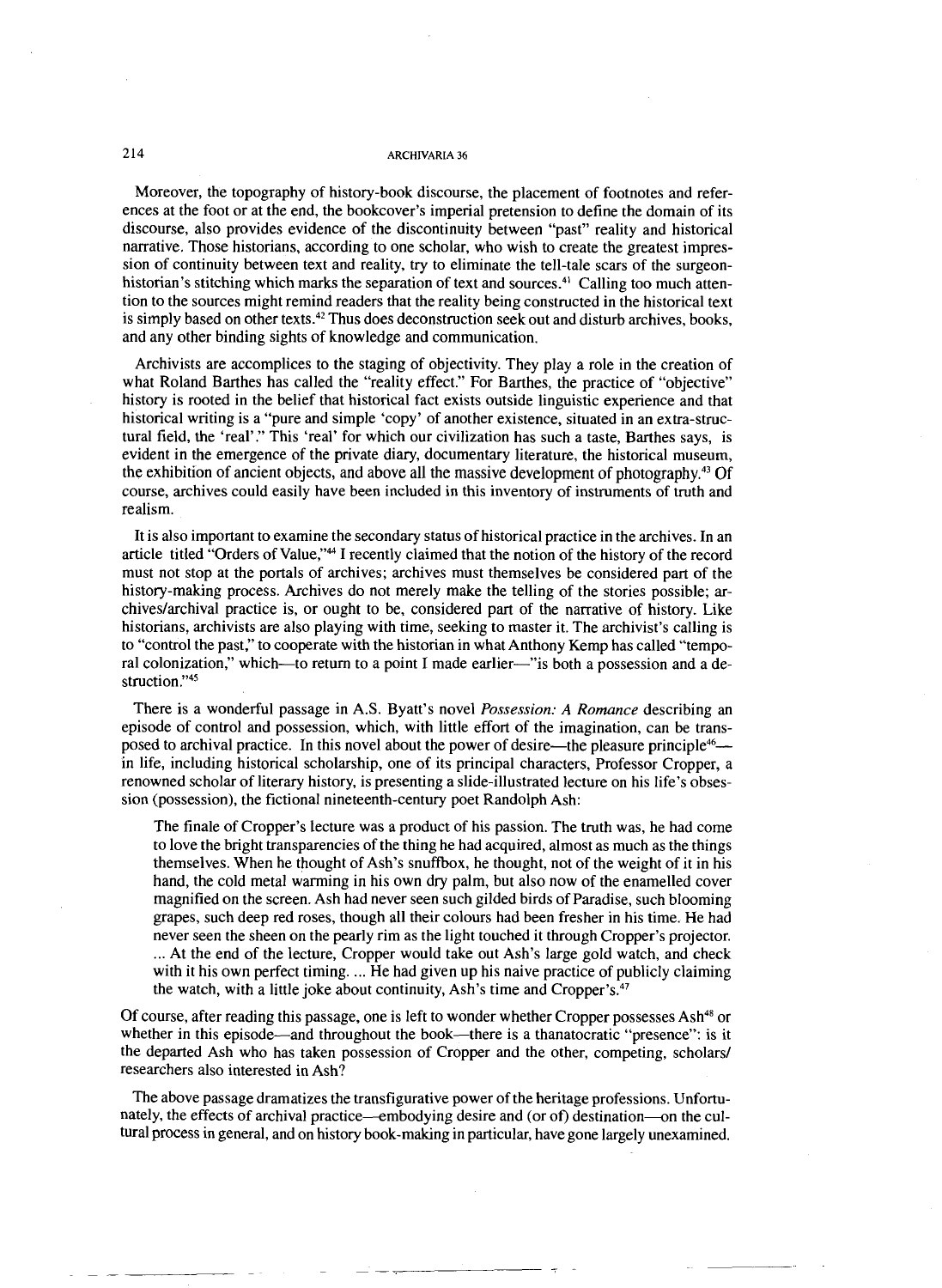Moreover, the topography of history-book discourse, the placement of footnotes and references at the foot or at the end, the bookcover's imperial pretension to define the domain of its discourse, also provides evidence of the discontinuity between "past" reality and historical narrative. Those historians, according to one scholar, who wish to create the greatest impression of continuity between text and reality, try to eliminate the tell-tale scars of the surgeonhistorian's stitching which marks the separation of text and sources. $4^{\circ}$  Calling too much attention to the sources might remind readers that the reality being constructed in the historical text is simply based on other texts.<sup>42</sup> Thus does deconstruction seek out and disturb archives, books, and any other binding sights of knowledge and communication.

Archivists are accomplices to the staging of objectivity. They play a role in the creation of what Roland Barthes has called the "reality effect." For Barthes, the practice of "objective" history is rooted in the belief that historical fact exists outside linguistic experience and that historical writing is a "pure and simple 'copy' of another existence, situated in an extra-structural field, the 'real'." This 'real' for which our civilization has such a taste, Barthes says, is evident in the emergence of the private diary, documentary literature, the historical museum, the exhibition of ancient objects, and above all the massive development of photography.<sup>43</sup> Of course, archives could easily have been included in this inventory of instruments of truth and realism.

It is also important to examine the secondary status of historical practice in the archives. In an article titled "Orders of Value,"" I recently claimed that the notion of the history of the record must not stop at the portals of archives; archives must themselves be considered part of the history-making process. Archives do not merely make the telling of the stories possible; archiveslarchival practice is, or ought to be, considered part of the narrative of history. Like historians, archivists are also playing with time, seeking to master it. The archivist's calling is to "control the past," to cooperate with the historian in what Anthony Kemp has called "temporal colonization," which-to return to a point I made earlier-"is both a possession and a destruction."<sup>45</sup>

There is a wonderful passage in A.S. Byatt's novel *Possession: A Romance* describing an episode of control and possession, which, with little effort of the imagination, can be transposed to archival practice. In this novel about the power of desire—the pleasure principle<sup>46</sup> in life, including historical scholarship, one of its principal characters, Professor Cropper, a renowned scholar of literary history, is presenting a slide-illustrated lecture on his life's obsession (possession), the fictional nineteenth-century poet Randolph Ash:

The finale of Cropper's lecture was a product of his passion. The truth was, he had come to love the bright transparencies of the thing he had acquired, almost as much as the things themselves. When he thought of Ash's snuffbox, he thought, not of the weight of it in his hand, the cold metal warming in his own dry palm, but also now of the enamelled cover magnified on the screen. Ash had never seen such gilded birds of Paradise, such blooming grapes, such deep red roses, though all their colours had been fresher in his time. He had never seen the sheen on the pearly rim as the light touched it through Cropper's projector. ... At the end of the lecture, Cropper would take out Ash's large gold watch, and check with it his own perfect timing. ... He had given up his naive practice of publicly claiming the watch, with a little joke about continuity, Ash's time and Cropper's. $47$ 

Of course, after reading this passage, one is left to wonder whether Cropper possesses Ash<sup>48</sup> or whether in this episode—and throughout the book—there is a thanatocratic "presence": is it the departed Ash who has taken possession of Cropper and the other, competing, scholars/ researchers also interested in Ash?

The above passage dramatizes the transfigurative power of the heritage professions. Unfortunately, the effects of archival practice—embodying desire and (or of) destination—on the cultural process in general, and on history book-making in particular, have gone largely unexarnined.

214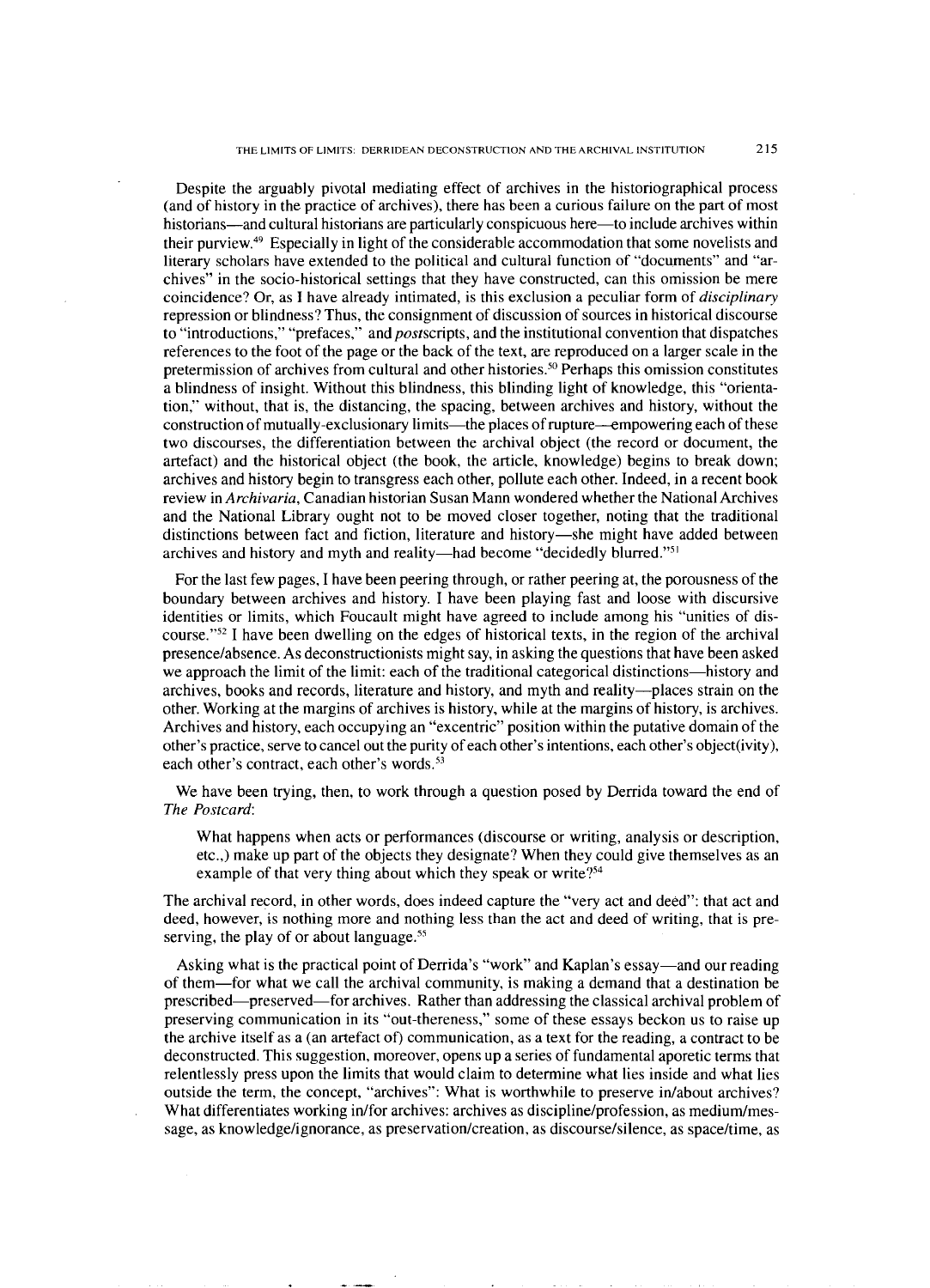Despite the arguably pivotal mediating effect of archives in the historiographical process (and of history in the practice of archives), there has been a curious failure on the part of most historians—and cultural historians are particularly conspicuous here—to include archives within their purview. $49$  Especially in light of the considerable accommodation that some novelists and literary scholars have extended to the political and cultural function of "documents" and "archives" in the socio-historical settings that they have constructed, can this omission be mere coincidence? Or, as I have already intimated, is this exclusion a peculiar form of disciplinary repression or blindness? Thus, the consignment of discussion of sources in historical discourse to "introductions," "prefaces," and postscripts, and the institutional convention that dispatches references to the foot of the page or the back of the text, are reproduced on a larger scale in the pretermission of archives from cultural and other histories." Perhaps this omission constitutes a blindness of insight. Without this blindness, this blinding light of knowledge, this "orientation," without, that is, the distancing, the spacing, between archives and history, without the construction of mutually-exclusionary limits—the places of rupture—empowering each of these two discourses, the differentiation between the archival object (the record or document, the artefact) and the historical object (the book, the article, knowledge) begins to break down; archives and history begin to transgress each other, pollute each other. Indeed, in a recent book review in Archivaria, Canadian historian Susan Mann wondered whether the National Archives and the National Library ought not to be moved closer together, noting that the traditional distinctions between fact and fiction, literature and history-she might have added between archives and history and myth and reality-had become "decidedly blurred."<sup>51</sup>

For the last few pages, I have been peering through, or rather peering at, the porousness of the boundary between archives and history. I have been playing fast and loose with discursive identities or limits, which Foucault might have agreed to include among his "unities of discourse." $52$  I have been dwelling on the edges of historical texts, in the region of the archival presencelabsence. As deconstructionists might say, in asking the questions that have been asked we approach the limit of the limit: each of the traditional categorical distinctions-history and archives, books and records, literature and history, and myth and reality-places strain on the other. Working at the margins of archives is history, while at the margins of history, is archives. Archives and history, each occupying an "excentric" position within the putative domain of the other's practice, serve to cancel out the purity of each other's intentions, each other's object(ivity), each other's contract, each other's words.<sup>53</sup>

We have been trying, then, to work through a question posed by Derrida toward the end of *The* Postcard:

What happens when acts or performances (discourse or writing, analysis or description, etc.,) make up part of the objects they designate? When they could give themselves as an example of that very thing about which they speak or write?<sup>54</sup>

The archival record, in other words, does indeed capture the "very act and deed": that act and deed, however, is nothing more and nothing less than the act and deed of writing, that is preserving, the play of or about language. $55$ 

Asking what is the practical point of Derrida's "work" and Kaplan's essay—and our reading of them-for what we call the archival community, is making a demand that a destination be prescribed-preserved-for archives. Rather than addressing the classical archival problem of preserving communication in its "out-thereness," some of these essays beckon us to raise up the archive itself as a (an artefact of) communication, as a text for the reading, a contract to be deconstructed. This suggestion, moreover, opens up a series of fundamental aporetic terms that relentlessly press upon the limits that would claim to determine what lies inside and what lies outside the term, the concept, "archives": What is worthwhile to preserve in/about archives? What differentiates working in/for archives: archives as discipline/profession, as medium/message, as knowledge/ignorance, as preservation/creation, as discourse/silence, as space/time, as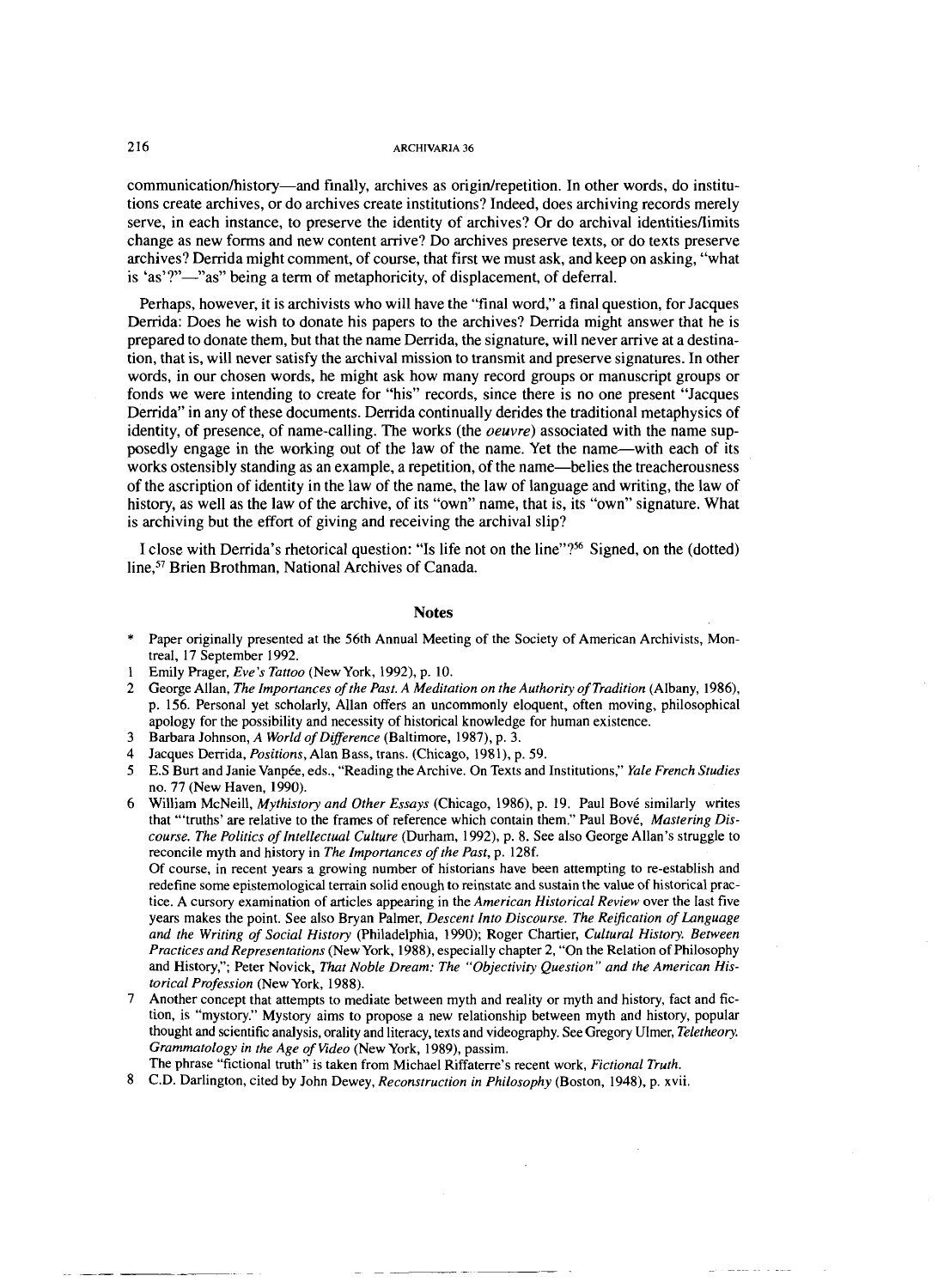communication/history—and finally, archives as origin/repetition. In other words, do institutions create archives, or do archives create institutions? Indeed, does archiving records merely serve, in each instance, to preserve the identity of archives? Or do archival identitiesflimits change as new forms and new content arrive? Do archives preserve texts, or do texts preserve archives? Demda might comment, of course, that first we must ask, and keep on asking, "what is 'as'?"-'as" being a term of metaphoricity, of displacement, of deferral.

Perhaps, however, it is archivists who will have the "final word," a final question, for Jacques Derrida: Does he wish to donate his papers to the archives? Derrida might answer that he is prepared to donate them, but that the name Derrida, the signature, will never arrive at a destination, that is, will never satisfy the archival mission to transmit and preserve signatures. In other words, in our chosen words, he might ask how many record groups or manuscript groups or fonds we were intending to create for "his" records, since there is no one present "Jacques Derrida" in any of these documents. Derrida continually derides the traditional metaphysics of identity, of presence, of name-calling. The works (the *oeuvre)* associated with the name supposedly engage in the working out of the law of the name. Yet the name-with each of its works ostensibly standing as an example, a repetition, of the name—belies the treacherousness of the ascription of identity in the law of the name, the law of language and writing, the law of history, as well as the law of the archive, of its "own" name, that is, its "own" signature. What is archiving but the effort of giving and receiving the archival slip?

I close with Derrida's rhetorical question: "Is life not on the line"?s6 Signed, on the (dotted) line,<sup>57</sup> Brien Brothman, National Archives of Canada.

## **Notes**

- Paper originally presented at the 56th Annual Meeting of the Society of American Archivists, Montreal, 17 September 1992.
- Emily Prager, *Eve's Tattoo* (New York, 1992), p. 10.
- George Allan, *The Importances of the Past. A Meditation on the Authority of Tradition* (Albany, 1986), p. 156. Personal yet scholarly, Allan offers an uncommonly eloquent, often moving, philosophical apology for the possibility and necessity of historical knowledge for human existence.
- $\mathbf{a}$ Barbara Johnson, *A World of Difference* (Baltimore, 1987). p. *3.*
- Jacques Denida, *Positions,* Alan Bass, trans. (Chicago, 1981), p. 59.
- E.S Burt and Janie Vanpte, eds., "Reading the Archive. On Texts and Institutions," *Yale French Studies*  no. 77 (New Haven, 1990).
- William McNeill, *Mythistory and Other Essays* (Chicago, 1986), p. 19. Paul Bové similarly writes that "'truths' are relative to the frames of reference which contain them." Paul Bovt, *Mastering Discourse. The Politics of Intellectual Culture* (Durham, 1992). p. 8. See also George Allan's struggle to reconcile myth and history in *The Importances of the Past,* p. 128f.

Of course, in recent years **a** growing number of historians have been attempting to re-establish and redefine some epistemological terrain solid enough to reinstate and sustain the value of historical practice. A cursory examination of articles appearing in the *American Historical Review* over the last five years makes the point. See also Bryan Palmer, *Descent Into Discourse. The Reification of Language and the Writing of Social History* (Philadelphia, 1990); Roger Chartier, *Cultural History. Between Practices and Representations* (New York, 1988). especially chapter 2, "On the Relation of Philosophy and History,"; Peter Novick, *That Noble Dream: The "Objectivity Question" and the American Historical Profession* (New York, 1988).

- $\overline{7}$ Another concept that attempts to mediate between myth and reality or myth and history, fact and fiction, is "mystory." Mystory aims to propose a new relationship between myth and history, popular thought and scientific analysis, orality and literacy, texts and videography. See Gregory Ulmer, *Teletheory. Grammatology in the Age of Video* (New York, 1989). passim.
- The phrase "fictional truth" is taken from Michael Riffaterre's recent work, *Fictional Truth.*
- C.D. Darlington, cited by John Dewey, *Reconstruction in Philosophy* (Boston, 1948). p. xvii.

## 216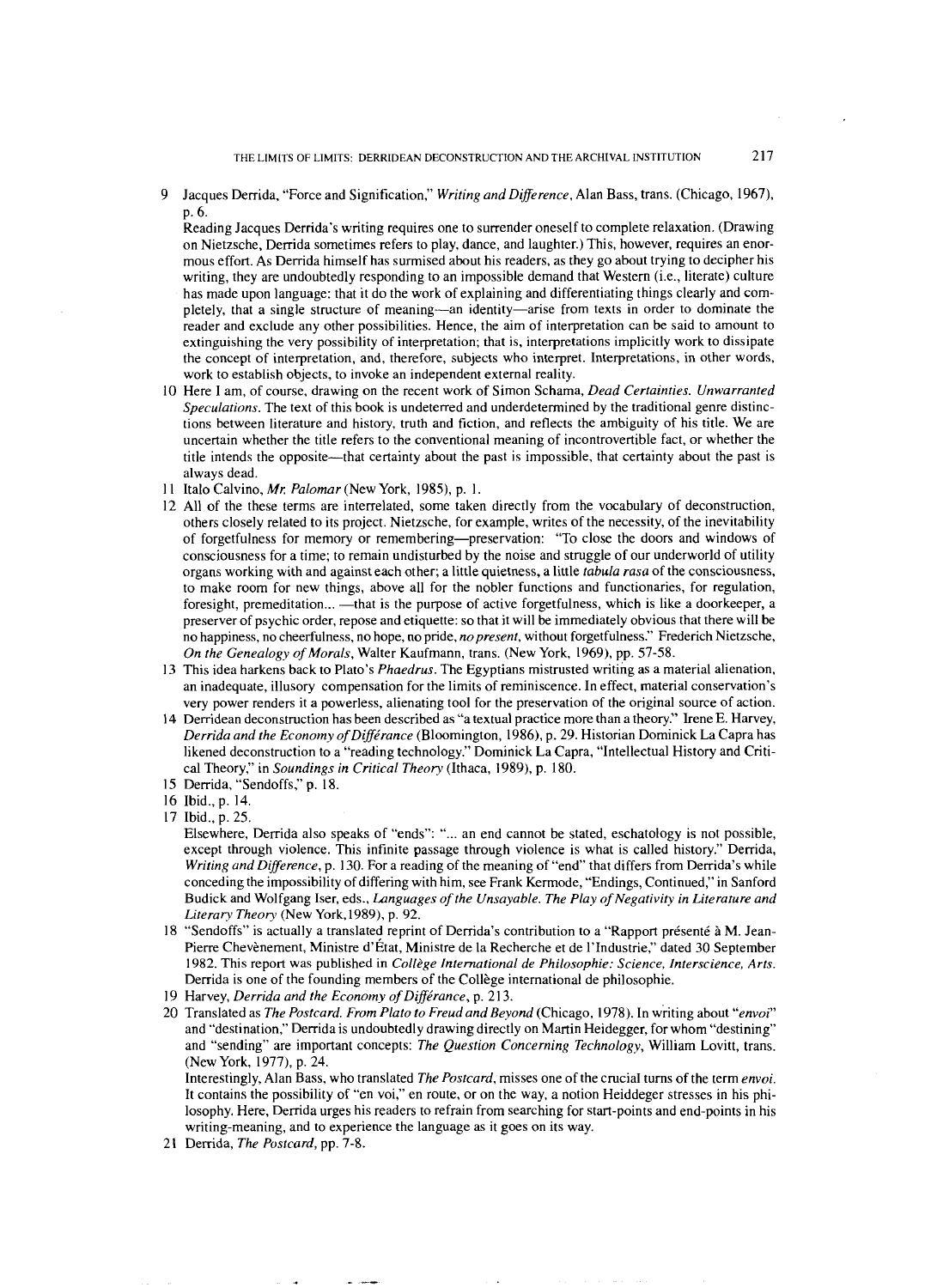Jacques Derrida, "Force and Signification," *Writing and Difference,* Alan Bass, trans. (Chicago, 1967). p. 6.

Reading Jacques Derrida's writing requires one to surrender oneself to complete relaxation. (Drawing on Nietzsche, Derrida sometimes refers to play, dance, and laughter.) This, however, requires an enormous effort. As Derrida himself has surmised about his readers, as they go about trying to decipher his writing, they are undoubtedly responding to an impossible demand that Western (i.e., literate) culture has made upon language: that it do the work of explaining and differentiating things clearly and completely, that a single structure of meaning—an identity—arise from texts in order to dominate the reader and exclude any other possibilities. Hence, the aim of interpretation can be said to amount to extinguishing the very possibility of interpretation; that is, interpretations implicitly work to dissipate the concept of interpretation, and, therefore, subjects who interpret. Interpretations, in other words, work to establish objects, to invoke an independent external reality.

- 10 Here I am, of course, drawing on the recent work of Simon Schama, *Dead Certainties. Unwarranted Speculations.* The text of this book is undeterred and underdetermined by the traditional genre distinctions between literature and history, truth and fiction, and reflects the ambiguity of his title. We are uncertain whether the title refers to the conventional meaning of incontrovertible fact, or whether the title intends the opposite-that certainty about the past is impossible, that certainty about the past is always dead.
- 11 Italo Calvino, Mr. Palomar (New York, 1985), p. 1.
- All of the these terms are interrelated, some taken directly from the vocabulary of deconstruction, others closely related to its project. Nietzsche, for example, writes of the necessity, of the inevitability of forgetfulness for memory or remembering-preservation: "To close the doors and windows of consciousness for a time; to remain undisturbed by the noise and struggle of our underworld of utility organs working with and against each other; a little quietness, a little *tabula rasa* of the consciousness, to make room for new things, above all for the nobler functions and functionaries, for regulation, foresight, premeditation... --- that is the purpose of active forgetfulness, which is like a doorkeeper, a preserver of psychic order, repose and etiquette: so that it will be immediately obvious that there will be no happiness, no cheerfulness, no hope, no pride, *no present,* without forgetfulness." Frederich Nietzsche, *On the Genealogy of Morals,* Walter Kaufmann, trans. (New York, 1969), pp. 57-58.
- This idea harkens back to Plato's *Phaedrus.* The Egyptians mistrusted writing as a material alienation, an inadequate, illusory compensation for the limits of reminiscence. In effect, material conservation's very power renders it a powerless, alienating tool for the preservation of the original source of action.
- 14 Derridean deconstruction has been described as "a textual practice more than a theory." Irene E. Harvey, *Derrida and the Economy of Différance* (Bloomington, 1986), p. 29. Historian Dominick La Capra has likened deconstruction to a "reading technology." Dominick La Capra, "Intellectual History and Critical Theory," in *Soundings in Critical Theory* (Ithaca, 1989). p. 180.
- 15 Derrida, "Sendoffs," p. 18.
- Ibid., p. 14.
- Ibid., p. 25.
	- Elsewhere, Derrida also speaks of "ends": "... an end cannot be stated, eschatology is not possible, except through violence. This infinite passage through violence is what is called history." Derrida, *Writing and Difference*, p. 130. For a reading of the meaning of "end" that differs from Derrida's while conceding the impossibility of differing with him, see Frank Kermode, "Endings, Continued," in Sanford Budick and Wolfgang Iser, eds., *Languages of the Unsayable. The Play of Negativity in Literature and Literary Theory* (New York,1989), p. 92.
- 18 "Sendoffs" is actually a translated reprint of Derrida's contribution to a "Rapport présenté à M. Jean-Pierre Chevènement, Ministre d'État, Ministre de la Recherche et de l'Industrie," dated 30 September 1982. This report was published in *Col12ge International de Philosophie: Science, Interscience, Arts.*  Derrida is one of the founding members of the Collège international de philosophie.
- Harvey, *Derrida and the Economy of Diffe'rance,* p. 213.
- 20 Translated as *The Postcard. From Pluto to Freud and Beyond* (Chicago, 1978). In writing about *"envoi"*  and "destination," Derrida is undoubtedly drawing directly on Martin Heidegger, for whom "destining" and "sending" are important concepts: *The Question Concerning Technology,* William Lovitt, trans. (New York, 1977), p. 24.

Interestingly, Alan Bass, who translated *The Postcard,* misses one of the crucial turns of the term *envoi.*  It contains the possibility of "en voi," en route, or on the way, a notion Heiddeger stresses in his philosophy. Here, Derrida urges his readers to refrain from searching for start-points and end-points in his writing-meaning, and to experience the language as it goes on its way.

21 Derrida, *The Postcard,* pp. 7-8.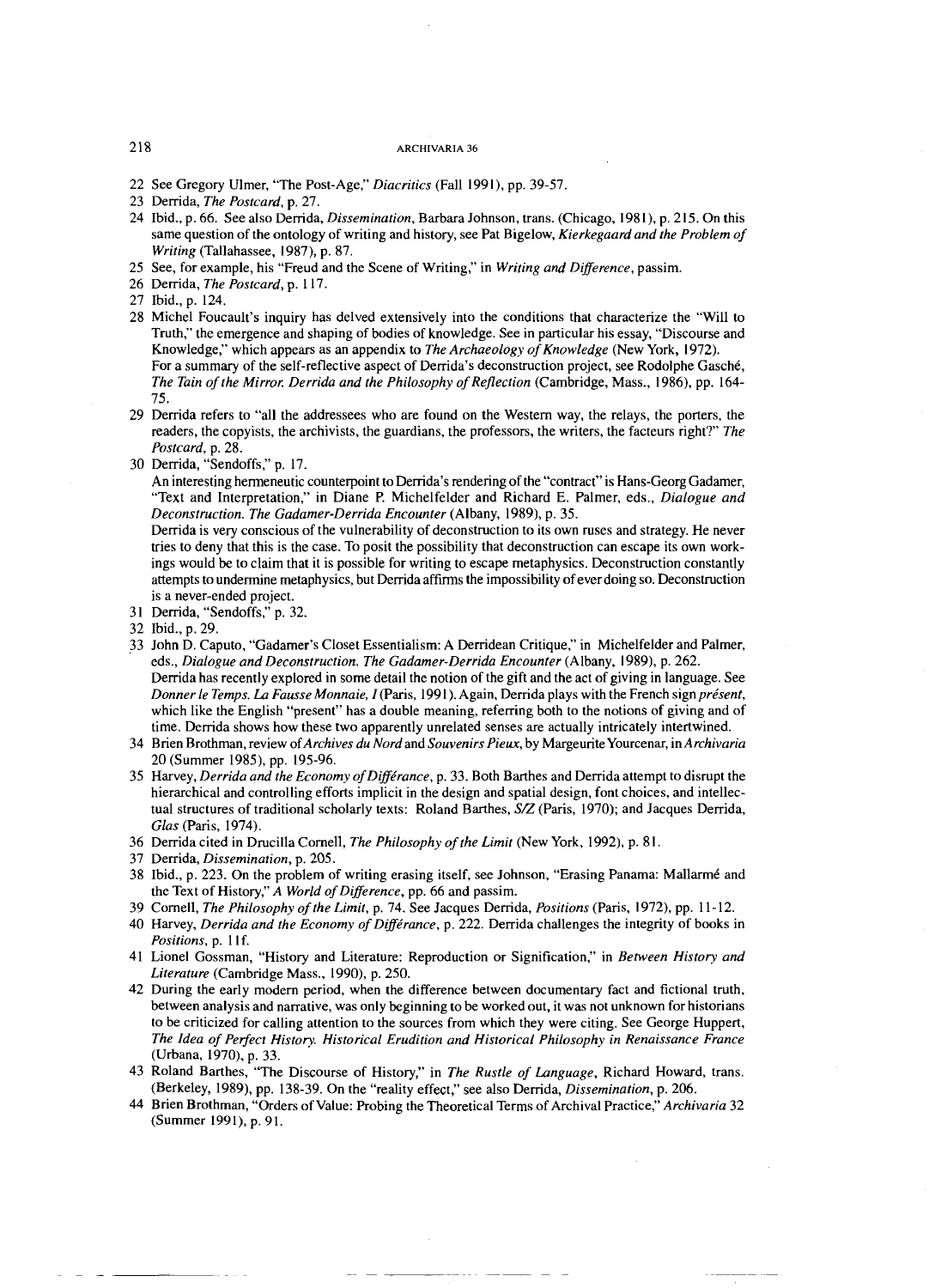- 22 See Gregory Ulmer, "The Post-Age,'' *Diacritics* (Fall 1991). pp. 39-57.
- 23 Derrida, *The Postcard,* p. 27.
- 24 Ibid., p. 66. See also Denida, *Dissemination,* Barbara Johnson, trans. (Chicago, 1981), p. 215. On this same question of the ontology of writing and history, see Pat Bigelow, *Kierkegaard and the Problem of Writing* (Tallahassee, 1987), p. 87.
- 25 See, for example, his "Freud and the Scene of Writing," in *Writing and Difference,* passim.
- 26 Derrida, *The Postcard,* p. *1 17.*
- 27 Ibid., p. 124.
- 28 Micbel Foucault's inquiry has delved extensively into the conditions that characterize the "Will to Truth," the emergence and shaping of bodies of knowledge. See in particular his essay, "Discourse and Knowledge," which appears as an appendix to *The Archaeology of Knowledge* (New York, 1972). For a summary of the self-reflective aspect of Derrida's deconstruction project, see Rodolphe Gasché, *The Tain of the Mirror: Derrida and the Philosophy of Reflection* (Cambridge, Mass., 1986). pp. 164- 75.
- 29 Denida refers to "all the addressees who are found on the Western way, the relays, the porters, the readers, the copyists, the archivists, the guardians, the professors, the writers, the facteurs right?" *The Postcard,* p. 28.
- 30 Derrida, "Sendoffs," p. 17.

An interesting hermeneutic counterpoint to Derrida's rendering of the "contract" is Hans-Georg Gadamer, "Text and Interpretation," in Diane P. Michelfelder and Richard E. Palmer, eds., *Dialogue and Deconstruction. The Gadamer-Derrida Encounter* (Albany, 1989), p. 35.

Derrida is very conscious of the vulnerability of deconstruction to its own ruses and strategy. He never tries to deny that this is the case. To posit the possibility that deconstruction can escape its own workings would be to claim that it is possible for writing to escape metaphysics. Deconstruction constantly attempts to undermine metaphysics, but Demda affirms the impossibility of ever doing so. Deconstruction is a never-ended project.

- 31 Derrida, "Sendoffs," p. 32.
- 32 Ibid., p. 29.
- 33 John D. Caputo, "Gadamer's Closet Essentialism: A Denidean Critique," in Michelfelder and Palmer, eds., *Dialogue and Deconstruction. The Gadamer-Derrida Encounter* (Albany, 1989). p. 262. Derrida has recently explored in some detail the notion of the gift and the act of giving in language. See *Donner le Temps. La Fausse Monnaie, I (Paris, 1991). Again, Derrida plays with the French sign présent,* which like the English "present" has a double meaning, referring both to the notions of giving and of time. Derrida shows how these two apparently unrelated senses are actually intricately intertwined.
- 34 Brien Brothman, review *ofArchives du Nord* and *Souvenirs Pieux,* by MargeuriteYourcenar, in *Archivaria*  20 (Summer 1985), pp. 195-96.
- 35 Harvey, *Derrida and the Economy ofDiffirance,* p. 33. Both Barthes and Derrida attempt to disrupt the hierarchical and controlling efforts implicit in the design and spatial design, font choices, and intellectual structures of traditional scholarly texts: Roland Barthes, *SLZ* (Paris, 1970); and Jacques Derrida, *Glas* (Paris, 1974).
- 36 Derrida cited in Drucilla Cornell, *The Philosophy of the Limit* (New York, 1992). p. 81.
- 37 Derrida, *Dissemination,* p. 205.
- 38 Ibid., p. 223. On the problem of writing erasing itself, see Johnson, "Erasing Panama: Mallarmé and the Text of History," *A World of Difference,* pp. 66 and passim.
- 39 Cornell, *The Philosophy of the Limit,* p. 74. See Jacques Denida, *Positions* (Paris, 1972). pp. 1 1-12.
- 40 Harvey, *Derrida and the Economy of Diffirance,* p. 222. Derrida challenges the integrity of books in *Positions,* p. 1 If.
- 41 Lionel Gossman, "History and Literature: Reproduction or Signification," in *Berween History and Literature* (Cambridge Mass., 1990). p. 250.
- 42 During the early modern period, when the difference between documentary fact and fictional truth, between analysis and narrative, was only beginning to be worked out, it was not unknown for historians to be criticized for calling attention to the sources from which they were citing. See George Huppert, *The Idea of Perfect History. Historical Erudition and Historical Philosophy in Renaissance France*  (Urbana, 1970). p. 33.
- 43 Roland Barthes, "The Discourse of History," in *The Rustle of Language,* Richard Howard, trans. (Berkeley, 1989). pp. 138-39. On the "reality effect," see also Demda, *Dissemination,* p. 206.
- 44 Brien Brothman, "Orders of Value: Probing the Theoretical Terms of Archival Practice," *Archivaria* 32 (Summer 1991), p. 91.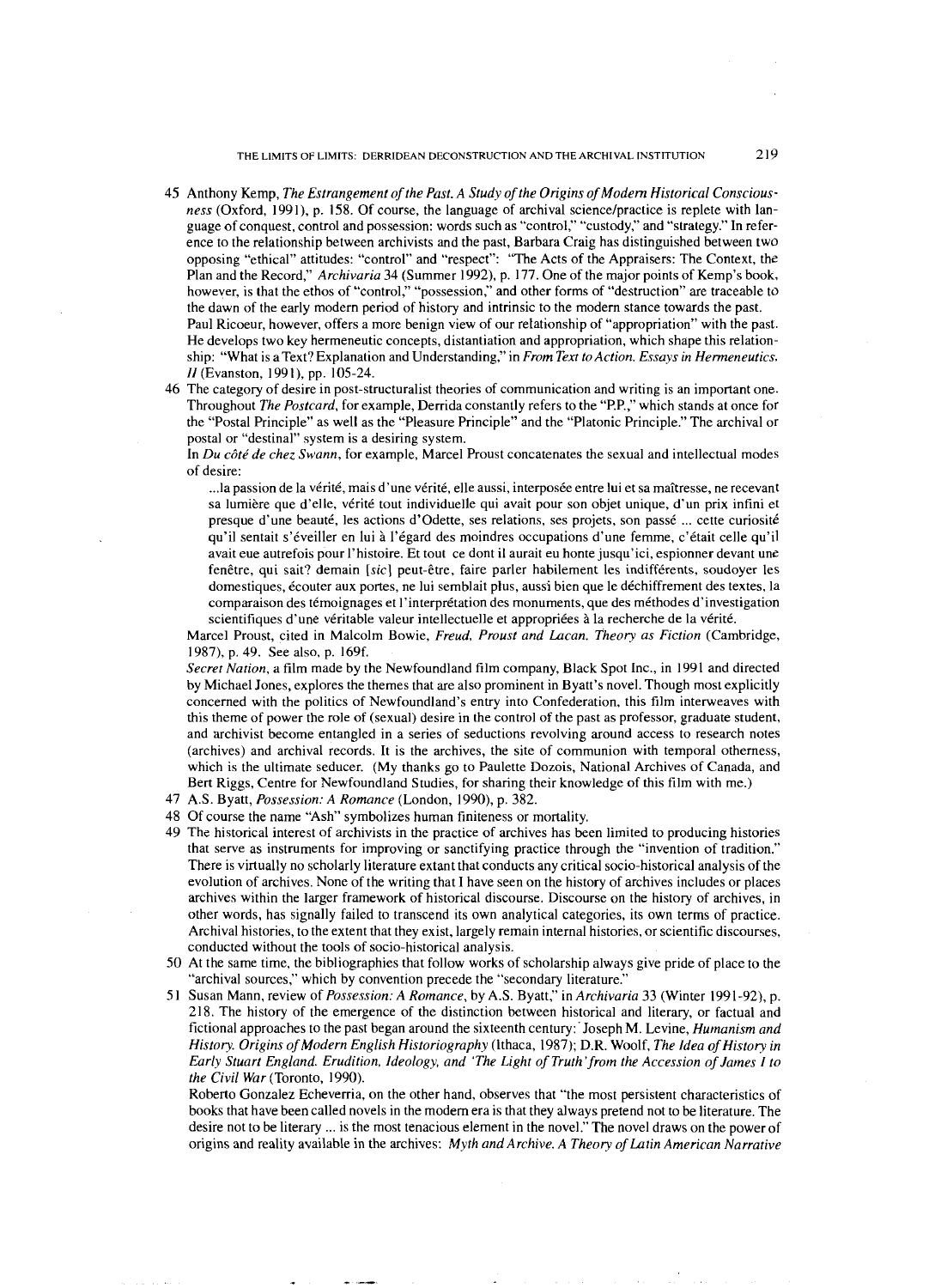THE LIMITS OF LIMITS. DERRIDEAN DECONSTRUCTION AND THE ARCHIVAL INSTITUTION 219

- 45 Anthony Kemp, *The Estrangement of the Past. A Study of the Origins of Modem Historical Consciousness* (Oxford, 1991). p. 158. Of course, the language of archival science/practice is replete with language of conquest, control and possession: words such as "control," "custody," and "strategy." In reference to the relationship between archivists and the past, Barbara Craig has distinguished between two opposing "ethical" attitudes: "control" and "respect": "The Acts of the Appraisers: The Context, the Plan and the Record," *Archivaria* 34 (Summer 1992), p. 177. One of the major points of Kemp's book, however, is that the ethos of "control," "possession," and other forms of "destruction" are traceable to the dawn of the early modern period of history and intrinsic to the modem stance towards the past. Paul Ricoeur, however, offers a more benign view of our relationship of "appropriation" with the past. He develops two key hermeneutic concepts, distantiation and appropriation, which shape this relationship: "What is a Text? Explanation and Understanding," in *From Text to Action. Essays in Hermeneutics. II* (Evanston, 1991), pp. 105-24.
- 46 The category of desire in post-structuralist theories of communication and writing is an important one. Throughout *The Postcard,* for example, Derrida constantly refers to the "P.P.," which stands at once for the "Postal Principle" as well as the "Pleasure Principle" and the "Platonic Principle." The archival or postal or "destinal" system is a desiring system.

In *Du cBtt de chez Swann,* for example, Marcel Proust concatenates the sexual and intellectual modes of desire:

... la passion de la vérité, mais d'une vérité, elle aussi, interposée entre lui et sa maîtresse, ne recevant sa lumière que d'elle, vérité tout individuelle qui avait pour son objet unique, d'un prix infini et presque d'une beauté, les actions d'Odette, ses relations, ses projets, son passé ... cette curiosité qu'il sentait s'tveiller en lui **i** I'Cgard des moindres occupations d'une femme, c'etait celle qu'il avait eue autrefois pour I'histoire. Et tout ce dont il aurait eu honte jusqu'ici, espionner devant une fenêtre, qui sait? demain *[sic]* peut-être, faire parler habilement les indifférents, soudoyer les domestiques, écouter aux portes, ne lui semblait plus, aussi bien que le déchiffrement des textes, la comparaison des témoignages et l'interprétation des monuments, que des méthodes d'investigation scientifiques d'une véritable valeur intellectuelle et appropriées à la recherche de la vérité.

Marcel Proust, cited in Malcolm Bowie, *Freud, Proust and Lacan. Theory as Fiction* (Cambridge, 1987), p. 49. See also, p. 169f.

*Secret Nation,* a film made by the Newfoundland film company, Black Spot Inc., in 1991 and directed by Michael Jones, explores the themes that are also prominent in Byatt's novel. Though most explicitly concerned with the politics of Newfoundland's entry into Confederation, this film interweaves with this theme of power the role of (sexual) desire in the control of the past as professor, graduate student, and archivist become entangled in a series of seductions revolving around access to research notes (archives) and archival records. It is the archives, the site of communion with temporal otherness, which is the ultimate seducer. (My thanks go to Paulette Dozois, National Archives of Canada, and Bert Riggs, Centre for Newfoundland Studies, for sharing their knowledge of this film with me.)

- 47 A.S. Byatt, *Possession: A Romance* (London, 1990), p. 382.
- 48 Of course the name "Ash" symbolizes human finiteness or mortality.
- 49 The historical interest of archivists in the practice of archives has been limited to producing histories that serve as instruments for improving or sanctifying practice through the "invention of tradition." There is virtually no scholarly literature extant that conducts any critical socio-historical analysis of the evolution of archives. None of the writing that I have seen on the history of archives includes or places archives within the larger framework of historical discourse. Discourse on the history of archives, in other words, has signally failed to transcend its own analytical categories, its own terms of practice. Archival histories, to the extent that they exist, largely remain internal histories, or scientific discourses, conducted without the tools of socio-historical analysis.
- 50 At the same time, the bibliographies that follow works of scholarship always give pride of place to the "archival sources," which by convention precede the "secondary literature."
- 5 1 Susan Mann. review of *Possession: A Romance,* by A.S. Byatt," in *Archivaria* 33 (Winter 1991-92), p. 218. The history of the emergence of the distinction between historical and literary, or factual and fictional approaches to the past began around the sixteenth century:'Joseph M. Levine, *Humanism and History. Origins of Modern English Historiography* (Ithaca, 1987); D.R. Woolf, *The Idea of History in Early Stuart England. Erudition, Ideology, and 'The Light of Truth'from the Accession of James I to the Civil War* (Toronto, 1990).

Roberto Gonzalez Echeverria, on the other hand, observes that "the most persistent characteristics of books that have been called novels in the modem era is that they always pretend not to be literature. The desire not to be literary ... is the most tenacious element in the novel." The novel draws on the power of origins and reality available in the archives: *Myth and Archive. A Theory of Latin American Narrative*